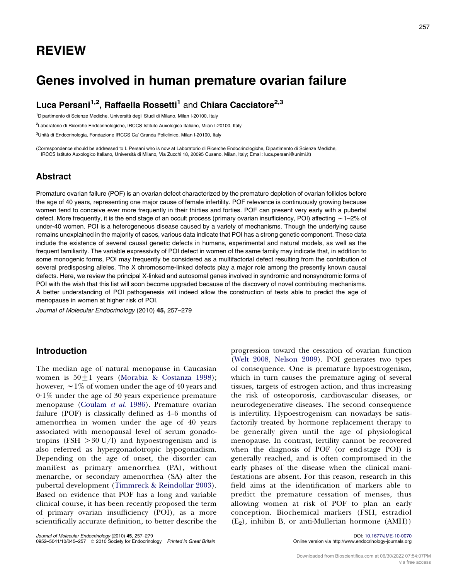# Genes involved in human premature ovarian failure

Luca Persani<sup>1,2</sup>, Raffaella Rossetti<sup>1</sup> and Chiara Cacciatore<sup>2,3</sup>

<sup>1</sup>Dipartimento di Scienze Mediche, Università degli Studi di Milano, Milan I-20100, Italy

<sup>2</sup>Laboratorio di Ricerche Endocrinologiche, IRCCS Istituto Auxologico Italiano, Milan I-20100, Italy

<sup>3</sup>Unità di Endocrinologia, Fondazione IRCCS Ca' Granda Policlinico, Milan I-20100, Italy

(Correspondence should be addressed to L Persani who is now at Laboratorio di Ricerche Endocrinologiche, Dipartimento di Scienze Mediche, IRCCS Istituto Auxologico Italiano, Universita` di Milano, Via Zucchi 18, 20095 Cusano, Milan, Italy; Email: luca.persani@unimi.it)

# Abstract

Premature ovarian failure (POF) is an ovarian defect characterized by the premature depletion of ovarian follicles before the age of 40 years, representing one major cause of female infertility. POF relevance is continuously growing because women tend to conceive ever more frequently in their thirties and forties. POF can present very early with a pubertal defect. More frequently, it is the end stage of an occult process (primary ovarian insufficiency, POI) affecting  $\sim$  1–2% of under-40 women. POI is a heterogeneous disease caused by a variety of mechanisms. Though the underlying cause remains unexplained in the majority of cases, various data indicate that POI has a strong genetic component. These data include the existence of several causal genetic defects in humans, experimental and natural models, as well as the frequent familiarity. The variable expressivity of POI defect in women of the same family may indicate that, in addition to some monogenic forms, POI may frequently be considered as a multifactorial defect resulting from the contribution of several predisposing alleles. The X chromosome-linked defects play a major role among the presently known causal defects. Here, we review the principal X-linked and autosomal genes involved in syndromic and nonsyndromic forms of POI with the wish that this list will soon become upgraded because of the discovery of novel contributing mechanisms. A better understanding of POI pathogenesis will indeed allow the construction of tests able to predict the age of menopause in women at higher risk of POI.

Journal of Molecular Endocrinology (2010) 45, 257–279

# Introduction

The median age of natural menopause in Caucasian women is  $50 \pm 1$  years ([Morabia & Costanza 1998\)](#page-19-0); however,  $\sim$  1% of women under the age of 40 years and 0.1% under the age of 30 years experience premature menopause ([Coulam](#page-16-0) et al. 1986). Premature ovarian failure (POF) is classically defined as 4–6 months of amenorrhea in women under the age of 40 years associated with menopausal level of serum gonadotropins (FSH  $>30$  U/l) and hypoestrogenism and is also referred as hypergonadotropic hypogonadism. Depending on the age of onset, the disorder can manifest as primary amenorrhea (PA), without menarche, or secondary amenorrhea (SA) after the pubertal development [\(Timmreck & Reindollar 2003\)](#page-21-0). Based on evidence that POF has a long and variable clinical course, it has been recently proposed the term of primary ovarian insufficiency (POI), as a more scientifically accurate definition, to better describe the

([Welt 2008,](#page-21-0) [Nelson 2009](#page-19-0)). POI generates two types of consequence. One is premature hypoestrogenism, which in turn causes the premature aging of several tissues, targets of estrogen action, and thus increasing the risk of osteoporosis, cardiovascular diseases, or neurodegenerative diseases. The second consequence is infertility. Hypoestrogenism can nowadays be satisfactorily treated by hormone replacement therapy to be generally given until the age of physiological menopause. In contrast, fertility cannot be recovered when the diagnosis of POF (or end-stage POI) is generally reached, and is often compromised in the early phases of the disease when the clinical manifestations are absent. For this reason, research in this field aims at the identification of markers able to predict the premature cessation of menses, thus allowing women at risk of POF to plan an early conception. Biochemical markers (FSH, estradiol  $(E_2)$ , inhibin B, or anti-Mullerian hormone (AMH))

progression toward the cessation of ovarian function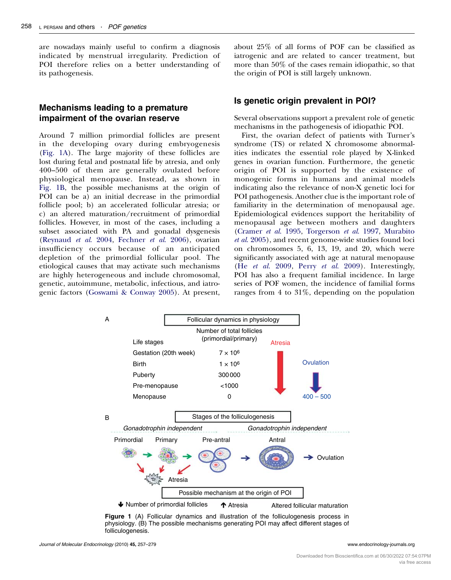are nowadays mainly useful to confirm a diagnosis indicated by menstrual irregularity. Prediction of POI therefore relies on a better understanding of its pathogenesis.

# Mechanisms leading to a premature impairment of the ovarian reserve

Around 7 million primordial follicles are present in the developing ovary during embryogenesis (Fig. 1A). The large majority of these follicles are lost during fetal and postnatal life by atresia, and only 400–500 of them are generally ovulated before physiological menopause. Instead, as shown in Fig. 1B, the possible mechanisms at the origin of POI can be a) an initial decrease in the primordial follicle pool; b) an accelerated follicular atresia; or c) an altered maturation/recruitment of primordial follicles. However, in most of the cases, including a subset associated with PA and gonadal dysgenesis [\(Reynaud](#page-20-0) et al. 2004, [Fechner](#page-17-0) et al. 2006), ovarian insufficiency occurs because of an anticipated depletion of the primordial follicular pool. The etiological causes that may activate such mechanisms are highly heterogeneous and include chromosomal, genetic, autoimmune, metabolic, infectious, and iatrogenic factors [\(Goswami & Conway 2005](#page-17-0)). At present, about 25% of all forms of POF can be classified as iatrogenic and are related to cancer treatment, but more than 50% of the cases remain idiopathic, so that the origin of POI is still largely unknown.

# Is genetic origin prevalent in POI?

Several observations support a prevalent role of genetic mechanisms in the pathogenesis of idiopathic POI.

First, the ovarian defect of patients with Turner's syndrome (TS) or related X chromosome abnormalities indicates the essential role played by X-linked genes in ovarian function. Furthermore, the genetic origin of POI is supported by the existence of monogenic forms in humans and animal models indicating also the relevance of non-X genetic loci for POI pathogenesis. Another clue is the important role of familiarity in the determination of menopausal age. Epidemiological evidences support the heritability of menopausal age between mothers and daughters ([Cramer](#page-16-0) et al. 1995, [Torgerson](#page-21-0) et al. 1997, [Murabito](#page-19-0) et al[. 2005\)](#page-19-0), and recent genome-wide studies found loci on chromosomes 5, 6, 13, 19, and 20, which were significantly associated with age at natural menopause (He et al[. 2009,](#page-17-0) Perry et al[. 2009\)](#page-20-0). Interestingly, POI has also a frequent familial incidence. In large series of POF women, the incidence of familial forms ranges from 4 to 31%, depending on the population



Figure 1 (A) Follicular dynamics and illustration of the folliculogenesis process in physiology. (B) The possible mechanisms generating POI may affect different stages of folliculogenesis.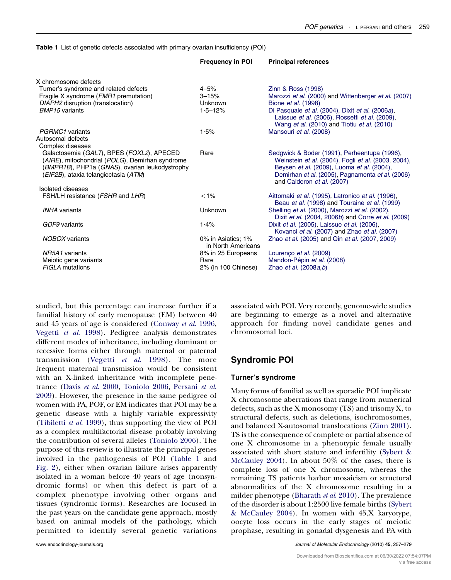<span id="page-2-0"></span>Table 1 List of genetic defects associated with primary ovarian insufficiency (POI)

|                                                                                                                                                                                        | <b>Frequency in POI</b>                  | <b>Principal references</b>                                                                                                                                                                                                         |  |
|----------------------------------------------------------------------------------------------------------------------------------------------------------------------------------------|------------------------------------------|-------------------------------------------------------------------------------------------------------------------------------------------------------------------------------------------------------------------------------------|--|
| X chromosome defects                                                                                                                                                                   |                                          |                                                                                                                                                                                                                                     |  |
| Turner's syndrome and related defects                                                                                                                                                  | $4 - 5%$                                 | Zinn & Ross (1998)                                                                                                                                                                                                                  |  |
| Fragile X syndrome (FMR1 premutation)                                                                                                                                                  | $3 - 15%$                                | Marozzi et al. (2000) and Wittenberger et al. (2007)                                                                                                                                                                                |  |
| DIAPH2 disruption (translocation)                                                                                                                                                      | Unknown                                  | Bione <i>et al.</i> (1998)                                                                                                                                                                                                          |  |
| <b>BMP15</b> variants                                                                                                                                                                  | $1.5 - 12%$                              | Di Pasquale et al. (2004), Dixit et al. (2006a),<br>Laissue et al. (2006), Rossetti et al. (2009),<br>Wang et al. (2010) and Tiotiu et al. (2010)                                                                                   |  |
| PGRMC1 variants                                                                                                                                                                        | 1.5%                                     | Mansouri et al. (2008)                                                                                                                                                                                                              |  |
| Autosomal defects                                                                                                                                                                      |                                          |                                                                                                                                                                                                                                     |  |
| Complex diseases                                                                                                                                                                       |                                          |                                                                                                                                                                                                                                     |  |
| Galactosemia (GALT), BPES (FOXL2), APECED<br>(AIRE), mitochondrial (POLG), Demirhan syndrome<br>(BMPR1B), PHP1a (GNAS), ovarian leukodystrophy<br>(EIF2B), ataxia telangiectasia (ATM) | Rare                                     | Sedgwick & Boder (1991), Perheentupa (1996),<br>Weinstein et al. (2004), Fogli et al. (2003, 2004),<br>Beysen et al. (2009), Luoma et al. (2004),<br>Demirhan et al. (2005), Pagnamenta et al. (2006)<br>and Calderon et al. (2007) |  |
| Isolated diseases                                                                                                                                                                      |                                          |                                                                                                                                                                                                                                     |  |
| FSH/LH resistance (FSHR and LHR)                                                                                                                                                       | $< 1\%$                                  | Aittomaki et al. (1995), Latronico et al. (1996),<br>Beau et al. (1998) and Touraine et al. (1999)                                                                                                                                  |  |
| <b>INHA</b> variants                                                                                                                                                                   | <b>Unknown</b>                           | Shelling et al. (2000), Marozzi et al. (2002),<br>Dixit et al. (2004, 2006b) and Corre et al. (2009)                                                                                                                                |  |
| GDF9 variants                                                                                                                                                                          | 1.4%                                     | Dixit et al. (2005), Laissue et al. (2006),<br>Kovanci et al. (2007) and Zhao et al. (2007)                                                                                                                                         |  |
| NOBOX variants                                                                                                                                                                         | 0% in Asiatics: 1%<br>in North Americans | Zhao et al. (2005) and Qin et al. (2007, 2009)                                                                                                                                                                                      |  |
| NR5A1 variants                                                                                                                                                                         | 8% in 25 Europeans                       | Lourenço et al. (2009)                                                                                                                                                                                                              |  |
| Meiotic gene variants                                                                                                                                                                  | Rare                                     | Mandon-Pépin et al. (2008)                                                                                                                                                                                                          |  |
| <b>FIGLA</b> mutations                                                                                                                                                                 | 2% (in 100 Chinese)                      | Zhao et al. (2008a,b)                                                                                                                                                                                                               |  |

studied, but this percentage can increase further if a familial history of early menopause (EM) between 40 and 45 years of age is considered ([Conway](#page-16-0) et al. 1996, [Vegetti](#page-21-0) et al. 1998). Pedigree analysis demonstrates different modes of inheritance, including dominant or recessive forms either through maternal or paternal transmission (Vegetti et al[. 1998\)](#page-21-0). The more frequent maternal transmission would be consistent with an X-linked inheritance with incomplete penetrance (Davis et al[. 2000,](#page-16-0) [Toniolo 2006,](#page-21-0) [Persani](#page-20-0) et al. [2009](#page-20-0)). However, the presence in the same pedigree of women with PA, POF, or EM indicates that POI may be a genetic disease with a highly variable expressivity [\(Tibiletti](#page-21-0) et al. 1999), thus supporting the view of POI as a complex multifactorial disease probably involving the contribution of several alleles [\(Toniolo 2006](#page-21-0)). The purpose of this review is to illustrate the principal genes involved in the pathogenesis of POI (Table 1 and [Fig. 2\)](#page-3-0), either when ovarian failure arises apparently isolated in a woman before 40 years of age (nonsyndromic forms) or when this defect is part of a complex phenotype involving other organs and tissues (syndromic forms). Researches are focused in the past years on the candidate gene approach, mostly based on animal models of the pathology, which permitted to identify several genetic variations

associated with POI. Very recently, genome-wide studies are beginning to emerge as a novel and alternative approach for finding novel candidate genes and chromosomal loci.

# Syndromic POI

#### Turner's syndrome

Many forms of familial as well as sporadic POI implicate X chromosome aberrations that range from numerical defects, such as the X monosomy  $(TS)$  and trisomy X, to structural defects, such as deletions, isochromosomes, and balanced X-autosomal translocations ([Zinn 2001\)](#page-22-0). TS is the consequence of complete or partial absence of one X chromosome in a phenotypic female usually associated with short stature and infertility ([Sybert &](#page-21-0) [McCauley 2004\)](#page-21-0). In about 50% of the cases, there is complete loss of one X chromosome, whereas the remaining TS patients harbor mosaicism or structural abnormalities of the X chromosome resulting in a milder phenotype ([Bharath](#page-16-0) et al. 2010). The prevalence of the disorder is about 1:2500 live female births ([Sybert](#page-21-0) [& McCauley 2004\)](#page-21-0). In women with 45,X karyotype, oocyte loss occurs in the early stages of meiotic prophase, resulting in gonadal dysgenesis and PA with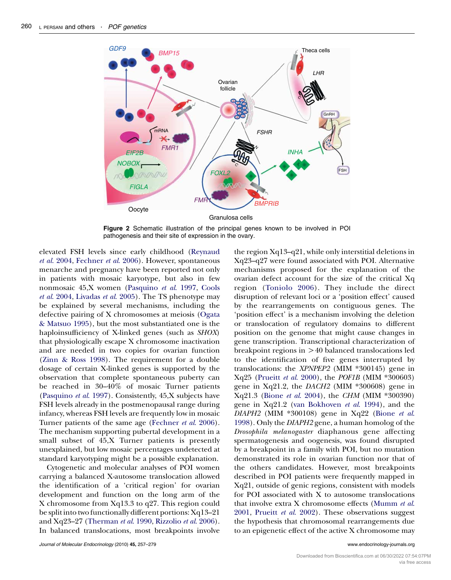<span id="page-3-0"></span>

Figure 2 Schematic illustration of the principal genes known to be involved in POI pathogenesis and their site of expression in the ovary.

elevated FSH levels since early childhood [\(Reynaud](#page-20-0) et al[. 2004](#page-20-0), [Fechner](#page-17-0) et al. 2006). However, spontaneous menarche and pregnancy have been reported not only in patients with mosaic karyotype, but also in few nonmosaic 45,X women ([Pasquino](#page-19-0) et al. 1997, [Cools](#page-16-0) et al[. 2004](#page-16-0), [Livadas](#page-18-0) et al. 2005). The TS phenotype may be explained by several mechanisms, including the defective pairing of X chromosomes at meiosis ([Ogata](#page-19-0) [& Matsuo 1995](#page-19-0)), but the most substantiated one is the haploinsufficiency of X-linked genes (such as SHOX) that physiologically escape X chromosome inactivation and are needed in two copies for ovarian function [\(Zinn & Ross 1998](#page-22-0)). The requirement for a double dosage of certain X-linked genes is supported by the observation that complete spontaneous puberty can be reached in 30–40% of mosaic Turner patients [\(Pasquino](#page-19-0) et al. 1997). Consistently, 45,X subjects have FSH levels already in the postmenopausal range during infancy, whereas FSH levels are frequently low in mosaic Turner patients of the same age [\(Fechner](#page-17-0) et al. 2006). The mechanism supporting pubertal development in a small subset of 45,X Turner patients is presently unexplained, but low mosaic percentages undetected at standard karyotyping might be a possible explanation.

Cytogenetic and molecular analyses of POI women carrying a balanced X-autosome translocation allowed the identification of a 'critical region' for ovarian development and function on the long arm of the X chromosome from Xq13.3 to q27. This region could be split into two functionally different portions: Xq13–21 and Xq23–27 [\(Therman](#page-21-0) et al. 1990, [Rizzolio](#page-20-0) et al. 2006). In balanced translocations, most breakpoints involve

Journal of Molecular Endocrinology (2010) 45, 257–279 www.endocrinology-journals.org

the region Xq13–q21, while only interstitial deletions in Xq23–q27 were found associated with POI. Alternative mechanisms proposed for the explanation of the ovarian defect account for the size of the critical Xq region ([Toniolo 2006](#page-21-0)). They include the direct disruption of relevant loci or a 'position effect' caused by the rearrangements on contiguous genes. The 'position effect' is a mechanism involving the deletion or translocation of regulatory domains to different position on the genome that might cause changes in gene transcription. Transcriptional characterization of breakpoint regions in  $>40$  balanced translocations led to the identification of five genes interrupted by translocations: the XPNPEP2 (MIM \*300145) gene in Xq25 [\(Prueitt](#page-20-0) et al. 2000), the POF1B (MIM \*300603) gene in  $Xq21.2$ , the *DACH2* (MIM  $*300608$ ) gene in Xq21.3 (Bione et al[. 2004\)](#page-16-0), the CHM (MIM \*300390) gene in Xq21.2 [\(van Bokhoven](#page-16-0) et al. 1994), and the  $DIAPH2$  (MIM  $*300108$ ) gene in Xq22 [\(Bione](#page-16-0) et al. [1998](#page-16-0)). Only the DIAPH2 gene, a human homolog of the Drosophila melanogaster diaphanous gene affecting spermatogenesis and oogenesis, was found disrupted by a breakpoint in a family with POI, but no mutation demonstrated its role in ovarian function nor that of the others candidates. However, most breakpoints described in POI patients were frequently mapped in Xq21, outside of genic regions, consistent with models for POI associated with X to autosome translocations that involve extra X chromosome effects ([Mumm](#page-19-0) et al. [2001](#page-19-0), [Prueitt](#page-20-0) et al. 2002). These observations suggest the hypothesis that chromosomal rearrangements due to an epigenetic effect of the active X chromosome may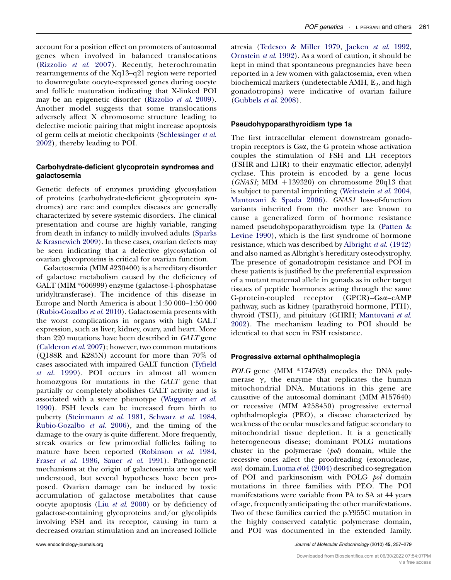account for a position effect on promoters of autosomal genes when involved in balanced translocations ([Rizzolio](#page-20-0) et al. 2007). Recently, heterochromatin rearrangements of the Xq13–q21 region were reported to downregulate oocyte-expressed genes during oocyte and follicle maturation indicating that X-linked POI may be an epigenetic disorder [\(Rizzolio](#page-20-0) et al. 2009). Another model suggests that some translocations adversely affect X chromosome structure leading to defective meiotic pairing that might increase apoptosis of germ cells at meiotic checkpoints ([Schlessinger](#page-20-0) et al. [2002](#page-20-0)), thereby leading to POI.

# Carbohydrate-deficient glycoprotein syndromes and galactosemia

Genetic defects of enzymes providing glycosylation of proteins (carbohydrate-deficient glycoprotein syndromes) are rare and complex diseases are generally characterized by severe systemic disorders. The clinical presentation and course are highly variable, ranging from death in infancy to mildly involved adults [\(Sparks](#page-21-0) [& Krasnewich 2009](#page-21-0)). In these cases, ovarian defects may be seen indicating that a defective glycosylation of ovarian glycoproteins is critical for ovarian function.

Galactosemia (MIM #230400) is a hereditary disorder of galactose metabolism caused by the deficiency of GALT (MIM \*606999) enzyme (galactose-1-phosphatase uridyltransferase). The incidence of this disease in Europe and North America is about 1:30 000–1:50 000 [\(Rubio-Gozalbo](#page-20-0) et al. 2010). Galactosemia presents with the worst complications in organs with high GALT expression, such as liver, kidney, ovary, and heart. More than 220 mutations have been described in GALT gene [\(Calderon](#page-16-0) et al. 2007); however, two common mutations (Q188R and K285N) account for more than 70% of cases associated with impaired GALT function [\(Tyfield](#page-21-0) et al[. 1999](#page-21-0)). POI occurs in almost all women homozygous for mutations in the GALT gene that partially or completely abolishes GALT activity and is associated with a severe phenotype ([Waggoner](#page-21-0) et al. [1990](#page-21-0)). FSH levels can be increased from birth to puberty ([Steinmann](#page-21-0) et al. 1981, [Schwarz](#page-20-0) et al. 1984, [Rubio-Gozalbo](#page-20-0) et al. 2006), and the timing of the damage to the ovary is quite different. More frequently, streak ovaries or few primordial follicles failing to mature have been reported ([Robinson](#page-20-0) et al. 1984, Fraser et al[. 1986,](#page-17-0) Sauer et al[. 1991](#page-20-0)). Pathogenetic mechanisms at the origin of galactosemia are not well understood, but several hypotheses have been proposed. Ovarian damage can be induced by toxic accumulation of galactose metabolites that cause oocyte apoptosis (Liu et al[. 2000](#page-18-0)) or by deficiency of galactose-containing glycoproteins and/or glycolipids involving FSH and its receptor, causing in turn a decreased ovarian stimulation and an increased follicle

atresia ([Tedesco & Miller 1979,](#page-21-0) [Jaeken](#page-18-0) et al. 1992, [Ornstein](#page-19-0) et al. 1992). As a word of caution, it should be kept in mind that spontaneous pregnancies have been reported in a few women with galactosemia, even when biochemical markers (undetectable  $AMH$ ,  $E_2$ , and high gonadotropins) were indicative of ovarian failure ([Gubbels](#page-17-0) et al. 2008).

# Pseudohypoparathyroidism type 1a

The first intracellular element downstream gonadotropin receptors is Gsa, the G protein whose activation couples the stimulation of FSH and LH receptors (FSHR and LHR) to their enzymatic effector, adenylyl cyclase. This protein is encoded by a gene locus (GNAS1; MIM  $+139320$ ) on chromosome 20q13 that is subject to parental imprinting ([Weinstein](#page-21-0) et al. 2004, [Mantovani & Spada 2006\)](#page-19-0). GNAS1 loss-of-function variants inherited from the mother are known to cause a generalized form of hormone resistance named pseudohypoparathyroidism type 1a ([Patten &](#page-19-0) [Levine 1990](#page-19-0)), which is the first syndrome of hormone resistance, which was described by [Albright](#page-15-0) et al. (1942) and also named as Albright's hereditary osteodystrophy. The presence of gonadotropin resistance and POI in these patients is justified by the preferential expression of a mutant maternal allele in gonads as in other target tissues of peptide hormones acting through the same G-protein-coupled receptor (GPCR)–Gsa–cAMP pathway, such as kidney (parathyroid hormone, PTH), thyroid (TSH), and pituitary (GHRH; [Mantovani](#page-19-0) et al. [2002](#page-19-0)). The mechanism leading to POI should be identical to that seen in FSH resistance.

# Progressive external ophthalmoplegia

POLG gene (MIM \*174763) encodes the DNA polymerase  $\gamma$ , the enzyme that replicates the human mitochondrial DNA. Mutations in this gene are causative of the autosomal dominant (MIM #157640) or recessive (MIM #258450) progressive external ophthalmoplegia (PEO), a disease characterized by weakness of the ocular muscles and fatigue secondary to mitochondrial tissue depletion. It is a genetically heterogeneous disease; dominant POLG mutations cluster in the polymerase (pol) domain, while the recessive ones affect the proofreading (exonuclease, exo) domain. Luoma et al[. \(2004\)](#page-18-0) described co-segregation of POI and parkinsonism with POLG pol domain mutations in three families with PEO. The POI manifestations were variable from PA to SA at 44 years of age, frequently anticipating the other manifestations. Two of these families carried the p.Y955C mutation in the highly conserved catalytic polymerase domain, and POI was documented in the extended family.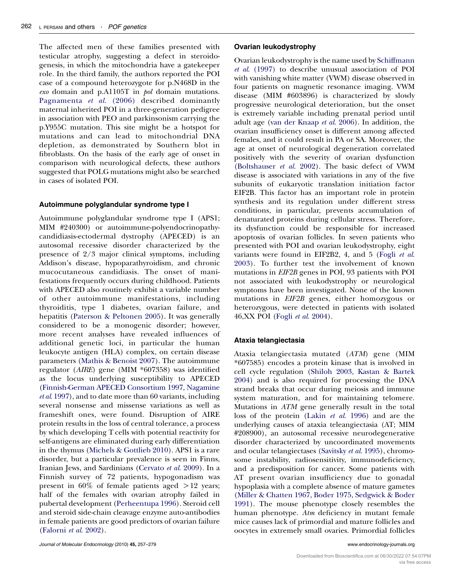The affected men of these families presented with testicular atrophy, suggesting a defect in steroidogenesis, in which the mitochondria have a gatekeeper role. In the third family, the authors reported the POI case of a compound heterozygote for p.N468D in the exo domain and p.A1105T in pol domain mutations. [Pagnamenta](#page-19-0) et al. (2006) described dominantly maternal inherited POI in a three-generation pedigree in association with PEO and parkinsonism carrying the p.Y955C mutation. This site might be a hotspot for mutations and can lead to mitochondrial DNA depletion, as demonstrated by Southern blot in fibroblasts. On the basis of the early age of onset in comparison with neurological defects, these authors suggested that POLG mutations might also be searched in cases of isolated POI.

# Autoimmune polyglandular syndrome type I

Autoimmune polyglandular syndrome type I (APS1; MIM #240300) or autoimmune-polyendocrinopathycandidiasis-ectodermal dystrophy (APECED) is an autosomal recessive disorder characterized by the presence of 2/3 major clinical symptoms, including Addison's disease, hypoparathyroidism, and chronic mucocutaneous candidiasis. The onset of manifestations frequently occurs during childhood. Patients with APECED also routinely exhibit a variable number of other autoimmune manifestations, including thyroiditis, type 1 diabetes, ovarian failure, and hepatitis [\(Paterson & Peltonen 2005](#page-19-0)). It was generally considered to be a monogenic disorder; however, more recent analyses have revealed influences of additional genetic loci, in particular the human leukocyte antigen (HLA) complex, on certain disease parameters [\(Mathis & Benoist 2007\)](#page-19-0). The autoimmune regulator (AIRE) gene (MIM \*607358) was identified as the locus underlying susceptibility to APECED [\(Finnish-German APECED Consortium 1997](#page-17-0), [Nagamine](#page-19-0) et al[. 1997\)](#page-19-0), and to date more than 60 variants, including several nonsense and missense variations as well as frameshift ones, were found. Disruption of AIRE protein results in the loss of central tolerance, a process by which developing T cells with potential reactivity for self-antigens are eliminated during early differentiation in the thymus [\(Michels & Gottlieb 2010\)](#page-19-0). APS1 is a rare disorder, but a particular prevalence is seen in Finns, Iranian Jews, and Sardinians ([Cervato](#page-16-0) et al. 2009). In a Finnish survey of 72 patients, hypogonadism was present in  $60\%$  of female patients aged  $>12$  years; half of the females with ovarian atrophy failed in pubertal development ([Perheentupa 1996\)](#page-20-0). Steroid cell and steroid side-chain cleavage enzyme auto-antibodies in female patients are good predictors of ovarian failure [\(Falorni](#page-17-0) et al. 2002).

### Ovarian leukodystrophy

Ovarian leukodystrophy is the name used by [Schiffmann](#page-20-0) et al[. \(1997\)](#page-20-0) to describe unusual association of POI with vanishing white matter (VWM) disease observed in four patients on magnetic resonance imaging. VWM disease (MIM #603896) is characterized by slowly progressive neurological deterioration, but the onset is extremely variable including prenatal period until adult age [\(van der Knaap](#page-18-0) et al. 2006). In addition, the ovarian insufficiency onset is different among affected females, and it could result in PA or SA. Moreover, the age at onset of neurological degeneration correlated positively with the severity of ovarian dysfunction ([Boltshauser](#page-16-0) et al. 2002). The basic defect of VWM disease is associated with variations in any of the five subunits of eukaryotic translation initiation factor EIF2B. This factor has an important role in protein synthesis and its regulation under different stress conditions, in particular, prevents accumulation of denaturated proteins during cellular stress. Therefore, its dysfunction could be responsible for increased apoptosis of ovarian follicles. In seven patients who presented with POI and ovarian leukodystrophy, eight variants were found in EIF2B2, 4, and 5 [\(Fogli](#page-17-0) et al. [2003](#page-17-0)). To further test the involvement of known mutations in EIF2B genes in POI, 93 patients with POI not associated with leukodystrophy or neurological symptoms have been investigated. None of the known mutations in EIF2B genes, either homozygous or heterozygous, were detected in patients with isolated 46,XX POI (Fogli et al[. 2004\)](#page-17-0).

### Ataxia telangiectasia

Ataxia telangiectasia mutated (ATM) gene (MIM \*607585) encodes a protein kinase that is involved in cell cycle regulation ([Shiloh 2003,](#page-20-0) [Kastan & Bartek](#page-18-0) [2004](#page-18-0)) and is also required for processing the DNA strand breaks that occur during meiosis and immune system maturation, and for maintaining telomere. Mutations in ATM gene generally result in the total loss of the protein (Lakin et al[. 1996](#page-18-0)) and are the underlying causes of ataxia teleangiectasia (AT; MIM #208900), an autosomal recessive neurodegenerative disorder characterized by uncoordinated movements and ocular telangiectases [\(Savitsky](#page-20-0) et al. 1995), chromosome instability, radiosensitivity, immunodeficiency, and a predisposition for cancer. Some patients with AT present ovarian insufficiency due to gonadal hypoplasia with a complete absence of mature gametes ([Miller & Chatten 1967,](#page-19-0) [Boder 1975,](#page-16-0) [Sedgwick & Boder](#page-20-0) [1991](#page-20-0)). The mouse phenotype closely resembles the human phenotype. Atm deficiency in mutant female mice causes lack of primordial and mature follicles and oocytes in extremely small ovaries. Primordial follicles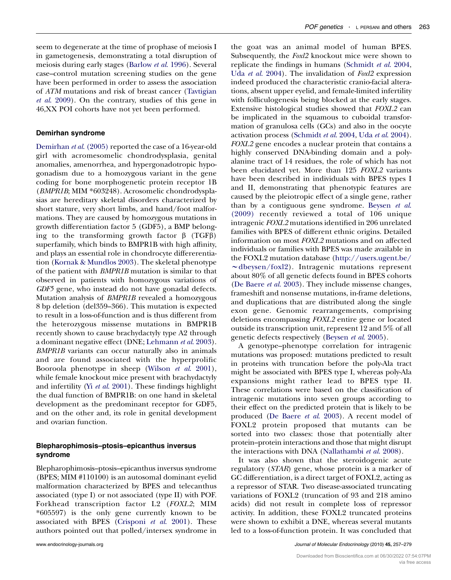seem to degenerate at the time of prophase of meiosis I in gametogenesis, demonstrating a total disruption of meiosis during early stages [\(Barlow](#page-15-0) et al. 1996). Several case–control mutation screening studies on the gene have been performed in order to assess the association of ATM mutations and risk of breast cancer [\(Tavtigian](#page-21-0) et al[. 2009](#page-21-0)). On the contrary, studies of this gene in 46,XX POI cohorts have not yet been performed.

#### Demirhan syndrome

[Demirhan](#page-16-0) et al. (2005) reported the case of a 16-year-old girl with acromesomelic chondrodysplasia, genital anomalies, amenorrhea, and hypergonadotropic hypogonadism due to a homozygous variant in the gene coding for bone morphogenetic protein receptor 1B (BMPR1B; MIM \*603248). Acrosomelic chondrodysplasias are hereditary skeletal disorders characterized by short stature, very short limbs, and hand/foot malformations. They are caused by homozygous mutations in growth differentiation factor 5 (GDF5), a BMP belonging to the transforming growth factor  $\beta$  (TGF $\beta$ ) superfamily, which binds to BMPR1B with high affinity, and plays an essential role in chondrocyte differerentiation [\(Kornak & Mundlos 2003](#page-18-0)). The skeletal phenotype of the patient with BMPR1B mutation is similar to that observed in patients with homozygous variations of GDF5 gene, who instead do not have gonadal defects. Mutation analysis of BMPR1B revealed a homozygous 8 bp deletion (del359–366). This mutation is expected to result in a loss-of-function and is thus different from the heterozygous missense mutations in BMPR1B recently shown to cause brachydactyly type A2 through a dominant negative effect (DNE; [Lehmann](#page-18-0) et al. 2003). BMPR1B variants can occur naturally also in animals and are found associated with the hyperprolific Booroola phenotype in sheep [\(Wilson](#page-21-0) et al. 2001), while female knockout mice present with brachydactyly and infertility (Yi et al[. 2001\)](#page-21-0). These findings highlight the dual function of BMPR1B: on one hand in skeletal development as the predominant receptor for GDF5, and on the other and, its role in genital development and ovarian function.

# Blepharophimosis–ptosis–epicanthus inversus syndrome

Blepharophimosis–ptosis–epicanthus inversus syndrome (BPES; MIM #110100) is an autosomal dominant eyelid malformation characterized by BPES and telecanthus associated (type I) or not associated (type II) with POF. Forkhead transcription factor L2 (FOXL2; MIM \*605597) is the only gene currently known to be associated with BPES ([Crisponi](#page-16-0) et al. 2001). These authors pointed out that polled/intersex syndrome in

the goat was an animal model of human BPES. Subsequently, the Foxl2 knockout mice were shown to replicate the findings in humans ([Schmidt](#page-20-0) et al. 2004, Uda et al[. 2004](#page-21-0)). The invalidation of Foxl2 expression indeed produced the characteristic cranio-facial alterations, absent upper eyelid, and female-limited infertility with folliculogenesis being blocked at the early stages. Extensive histological studies showed that FOXL2 can be implicated in the squamous to cuboidal transformation of granulosa cells (GCs) and also in the oocyte activation process ([Schmidt](#page-20-0) et al. 2004, Uda et al[. 2004\)](#page-21-0). FOXL2 gene encodes a nuclear protein that contains a highly conserved DNA-binding domain and a polyalanine tract of 14 residues, the role of which has not been elucidated yet. More than 125 FOXL2 variants have been described in individuals with BPES types I and II, demonstrating that phenotypic features are caused by the pleiotropic effect of a single gene, rather than by a contiguous gene syndrome. [Beysen](#page-16-0) et al. [\(2009\)](#page-16-0) recently reviewed a total of 106 unique intragenic FOXL2 mutations identified in 206 unrelated families with BPES of different ethnic origins. Detailed information on most FOXL2 mutations and on affected individuals or families with BPES was made available in the FOXL2 mutation database [\(http://users.ugent.be/](http://users.ugent.be/~dbeysen/foxl2)  $\sim$ [dbeysen/foxl2\)](http://users.ugent.be/~dbeysen/foxl2). Intragenic mutations represent about 80% of all genetic defects found in BPES cohorts ([De Baere](#page-16-0) et al. 2003). They include missense changes, frameshift and nonsense mutations, in-frame deletions, and duplications that are distributed along the single exon gene. Genomic rearrangements, comprising deletions encompassing FOXL2 entire gene or located outside its transcription unit, represent 12 and 5% of all genetic defects respectively ([Beysen](#page-16-0) et al. 2005).

A genotype–phenotype correlation for intragenic mutations was proposed: mutations predicted to result in proteins with truncation before the poly-Ala tract might be associated with BPES type I, whereas poly-Ala expansions might rather lead to BPES type II. These correlations were based on the classification of intragenic mutations into seven groups according to their effect on the predicted protein that is likely to be produced ([De Baere](#page-16-0) et al. 2003). A recent model of FOXL2 protein proposed that mutants can be sorted into two classes: those that potentially alter protein–protein interactions and those that might disrupt the interactions with DNA [\(Nallathambi](#page-19-0) et al. 2008).

It was also shown that the steroidogenic acute regulatory (STAR) gene, whose protein is a marker of GC differentiation, is a direct target of FOXL2, acting as a repressor of STAR. Two disease-associated truncating variations of FOXL2 (truncation of 93 and 218 amino acids) did not result in complete loss of repressor activity. In addition, these FOXL2 truncated proteins were shown to exhibit a DNE, whereas several mutants led to a loss-of-function protein. It was concluded that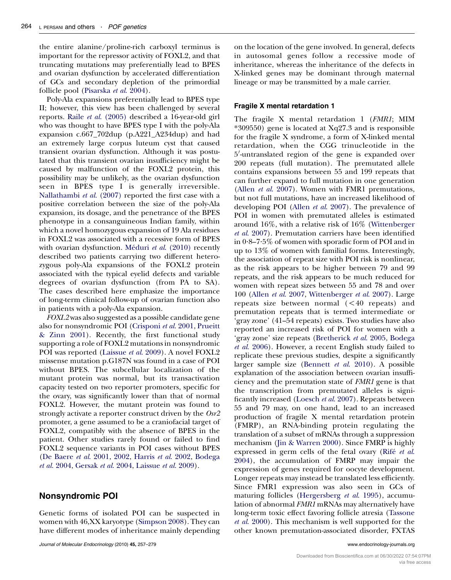the entire alanine/proline-rich carboxyl terminus is important for the repressor activity of FOXL2, and that truncating mutations may preferentially lead to BPES and ovarian dysfunction by accelerated differentiation of GCs and secondary depletion of the primordial follicle pool [\(Pisarska](#page-20-0) et al. 2004).

Poly-Ala expansions preferentially lead to BPES type II; however, this view has been challenged by several reports. Raile et al[. \(2005\)](#page-20-0) described a 16-year-old girl who was thought to have BPES type I with the poly-Ala expansion c.667\_702dup (p.A221\_A234dup) and had an extremely large corpus luteum cyst that caused transient ovarian dysfunction. Although it was postulated that this transient ovarian insufficiency might be caused by malfunction of the FOXL2 protein, this possibility may be unlikely, as the ovarian dysfunction seen in BPES type I is generally irreversible. [Nallathambi](#page-19-0) et al. (2007) reported the first case with a positive correlation between the size of the poly-Ala expansion, its dosage, and the penetrance of the BPES phenotype in a consanguineous Indian family, within which a novel homozygous expansion of 19 Ala residues in FOXL2 was associated with a recessive form of BPES with ovarian dysfunction. Méduri et al.  $(2010)$  recently described two patients carrying two different heterozygous poly-Ala expansions of the FOXL2 protein associated with the typical eyelid defects and variable degrees of ovarian dysfunction (from PA to SA). The cases described here emphasize the importance of long-term clinical follow-up of ovarian function also in patients with a poly-Ala expansion.

FOXL2 was also suggested as a possible candidate gene also for nonsyndromic POI [\(Crisponi](#page-16-0) et al. 2001, [Prueitt](#page-20-0) [& Zinn 2001](#page-20-0)). Recently, the first functional study supporting a role of FOXL2 mutations in nonsyndromic POI was reported ([Laissue](#page-18-0) et al. 2009). A novel FOXL2 missense mutation p.G187N was found in a case of POI without BPES. The subcellular localization of the mutant protein was normal, but its transactivation capacity tested on two reporter promoters, specific for the ovary, was significantly lower than that of normal FOXL2. However, the mutant protein was found to strongly activate a reporter construct driven by the Osr2 promoter, a gene assumed to be a craniofacial target of FOXL2, compatibly with the absence of BPES in the patient. Other studies rarely found or failed to find FOXL2 sequence variants in POI cases without BPES [\(De Baere](#page-16-0) et al. 2001, [2002,](#page-16-0) Harris et al[. 2002,](#page-17-0) [Bodega](#page-16-0) et al[. 2004,](#page-16-0) [Gersak](#page-17-0) et al. 2004, [Laissue](#page-18-0) et al. 2009).

# Nonsyndromic POI

Genetic forms of isolated POI can be suspected in women with 46,XX karyotype ([Simpson 2008](#page-21-0)). They can have different modes of inheritance mainly depending

Journal of Molecular Endocrinology (2010) 45, 257–279 www.endocrinology-journals.org

on the location of the gene involved. In general, defects in autosomal genes follow a recessive mode of inheritance, whereas the inheritance of the defects in X-linked genes may be dominant through maternal lineage or may be transmitted by a male carrier.

#### Fragile X mental retardation 1

The fragile X mental retardation 1 (FMR1; MIM \*309550) gene is located at Xq27.3 and is responsible for the fragile X syndrome, a form of X-linked mental retardation, when the CGG trinucleotide in the 5<sup>'</sup>-untranslated region of the gene is expanded over 200 repeats (full mutation). The premutated allele contains expansions between 55 and 199 repeats that can further expand to full mutation in one generation (Allen et al[. 2007\)](#page-15-0). Women with FMR1 premutations, but not full mutations, have an increased likelihood of developing POI (Allen et al[. 2007](#page-15-0)). The prevalence of POI in women with premutated alleles is estimated around 16%, with a relative risk of 16% ([Wittenberger](#page-21-0) et al[. 2007](#page-21-0)). Premutation carriers have been identified in 0.8–7.5% of women with sporadic form of POI and in up to 13% of women with familial forms. Interestingly, the association of repeat size with POI risk is nonlinear, as the risk appears to be higher between 79 and 99 repeats, and the risk appears to be much reduced for women with repeat sizes between 55 and 78 and over 100 (Allen et al[. 2007](#page-15-0), [Wittenberger](#page-21-0) et al. 2007). Large repeats size between normal  $( $40$  repeats) and$ premutation repeats that is termed intermediate or 'gray zone' (41–54 repeats) exists. Two studies have also reported an increased risk of POI for women with a 'gray zone' size repeats [\(Bretherick](#page-16-0) et al. 2005, [Bodega](#page-16-0) et al[. 2006\)](#page-16-0). However, a recent English study failed to replicate these previous studies, despite a significantly larger sample size ([Bennett](#page-16-0) et al. 2010). A possible explanation of the association between ovarian insufficiency and the premutation state of FMR1 gene is that the transcription from premutated alleles is significantly increased [\(Loesch](#page-18-0) et al. 2007). Repeats between 55 and 79 may, on one hand, lead to an increased production of fragile X mental retardation protein (FMRP), an RNA-binding protein regulating the translation of a subset of mRNAs through a suppression mechanism ([Jin & Warren 2000](#page-18-0)). Since FMRP is highly expressed in germ cells of the fetal ovary (Rifé [et al](#page-20-0). [2004](#page-20-0)), the accumulation of FMRP may impair the expression of genes required for oocyte development. Longer repeats may instead be translated less efficiently. Since FMR1 expression was also seen in GCs of maturing follicles ([Hergersberg](#page-18-0) et al. 1995), accumulation of abnormal FMR1 mRNAs may alternatively have long-term toxic effect favoring follicle atresia ([Tassone](#page-21-0) et al[. 2000](#page-21-0)). This mechanism is well supported for the other known premutation-associated disorder, FXTAS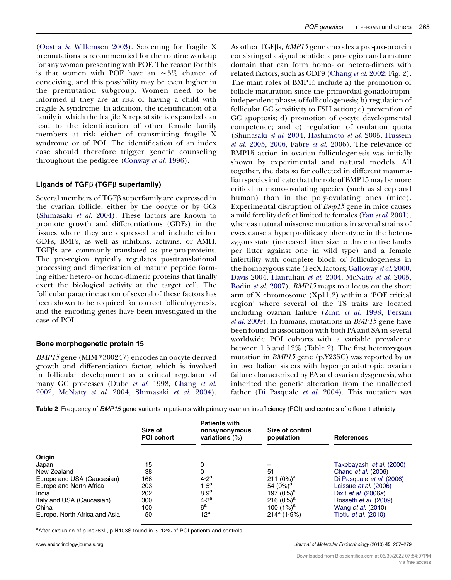<span id="page-8-0"></span>[\(Oostra & Willemsen 2003\)](#page-19-0). Screening for fragile X premutations is recommended for the routine work-up for any woman presenting with POF. The reason for this is that women with POF have an  $\sim 5\%$  chance of conceiving, and this possibility may be even higher in the premutation subgroup. Women need to be informed if they are at risk of having a child with fragile X syndrome. In addition, the identification of a family in which the fragile X repeat site is expanded can lead to the identification of other female family members at risk either of transmitting fragile X syndrome or of POI. The identification of an index case should therefore trigger genetic counseling throughout the pedigree ([Conway](#page-16-0) et al. 1996).

### Ligands of TGF $\beta$  (TGF $\beta$  superfamily)

Several members of  $TGF\beta$  superfamily are expressed in the ovarian follicle, either by the oocyte or by GCs [\(Shimasaki](#page-21-0) et al. 2004). These factors are known to promote growth and differentiations (GDFs) in the tissues where they are expressed and include either GDFs, BMPs, as well as inhibins, activins, or AMH. TGF $\beta$ s are commonly translated as pre-pro-proteins. The pro-region typically regulates posttranslational processing and dimerization of mature peptide forming either hetero- or homo-dimeric proteins that finally exert the biological activity at the target cell. The follicular paracrine action of several of these factors has been shown to be required for correct folliculogenesis, and the encoding genes have been investigated in the case of POI.

#### Bone morphogenetic protein 15

BMP15 gene (MIM \*300247) encodes an oocyte-derived growth and differentiation factor, which is involved in follicular development as a critical regulator of many GC processes (Dube et al[. 1998](#page-17-0), [Chang](#page-16-0) et al. [2002](#page-16-0), [McNatty](#page-19-0) et al. 2004, [Shimasaki](#page-21-0) et al. 2004).

As other TGFβs, *BMP15* gene encodes a pre-pro-protein consisting of a signal peptide, a pro-region and a mature domain that can form homo- or hetero-dimers with related factors, such as GDF9 [\(Chang](#page-16-0) et al. 2002; [Fig. 2\)](#page-3-0). The main roles of BMP15 include a) the promotion of follicle maturation since the primordial gonadotropinindependent phases of folliculogenesis; b) regulation of follicular GC sensitivity to FSH action; c) prevention of GC apoptosis; d) promotion of oocyte developmental competence; and e) regulation of ovulation quota ([Shimasaki](#page-21-0) et al. 2004, [Hashimoto](#page-17-0) et al. 2005, [Hussein](#page-18-0)  $et \ al. 2005, 2006$  $et \ al. 2005, 2006$  $et \ al. 2005, 2006$  $et \ al. 2005, 2006$ , Fabre  $et \ al. 2006$ ). The relevance of BMP15 action in ovarian folliculogenesis was initially shown by experimental and natural models. All together, the data so far collected in different mammalian species indicate that the role of BMP15 may be more critical in mono-ovulating species (such as sheep and human) than in the poly-ovulating ones (mice). Experimental disruption of Bmp15 gene in mice causes a mild fertility defect limited to females (Yan et al[. 2001\)](#page-21-0), whereas natural missense mutations in several strains of ewes cause a hyperprolificacy phenotype in the heterozygous state (increased litter size to three to five lambs per litter against one in wild type) and a female infertility with complete block of folliculogenesis in the homozygous state (FecX factors; [Galloway](#page-17-0) et al. 2000, [Davis 2004](#page-16-0), [Hanrahan](#page-17-0) et al. 2004, [McNatty](#page-19-0) et al. 2005, [Bodin](#page-16-0) et al. 2007). BMP15 maps to a locus on the short arm of X chromosome (Xp11.2) within a 'POF critical region' where several of the TS traits are located including ovarian failure (Zinn et al[. 1998](#page-22-0), [Persani](#page-20-0) et al[. 2009\)](#page-20-0). In humans, mutations in BMP15 gene have been found in association with both PA and SA in several worldwide POI cohorts with a variable prevalence between 1.5 and 12% (Table 2). The first heterozygous mutation in BMP15 gene (p.Y235C) was reported by us in two Italian sisters with hypergonadotropic ovarian failure characterized by PA and ovarian dysgenesis, who inherited the genetic alteration from the unaffected father [\(Di Pasquale](#page-17-0) et al. 2004). This mutation was

Table 2 Frequency of BMP15 gene variants in patients with primary ovarian insufficiency (POI) and controls of different ethnicity

|                               | Size of<br><b>POI cohort</b> | <b>Patients with</b><br>nonsynonymous<br>variations $(\%)$ | Size of control<br>population | <b>References</b>                    |
|-------------------------------|------------------------------|------------------------------------------------------------|-------------------------------|--------------------------------------|
| Origin                        |                              |                                                            |                               |                                      |
| Japan                         | 15                           | 0                                                          |                               | Takebayashi et al. (2000)            |
| New Zealand                   | 38                           | 0                                                          | 51                            | Chand et al. (2006)                  |
| Europe and USA (Caucasian)    | 166                          | 4.2 <sup>a</sup>                                           | 211 $(0\%)^a$                 | Di Pasquale et al. (2006)            |
| Europe and North Africa       | 203                          | $1.5^a$                                                    | 54 $(0\%)^a$                  | Laissue <i>et al.</i> (2006)         |
| India                         | 202                          | 8.9 <sup>a</sup>                                           | 197 (0%) <sup>a</sup>         | Dixit <i>et al.</i> (2006 <i>a</i> ) |
| Italy and USA (Caucasian)     | 300                          | 4.3 <sup>a</sup>                                           | 216 $(0\%)^a$                 | Rossetti et al. (2009)               |
| China                         | 100                          | 6 <sup>a</sup>                                             | 100 $(1%)^a$                  | Wang <i>et al.</i> (2010)            |
| Europe, North Africa and Asia | 50                           | $12^a$                                                     | $214^a (1.9\%)$               | Tiotiu <i>et al.</i> (2010)          |

a After exclusion of p.ins263L, p.N103S found in 3-12% of POI patients and controls.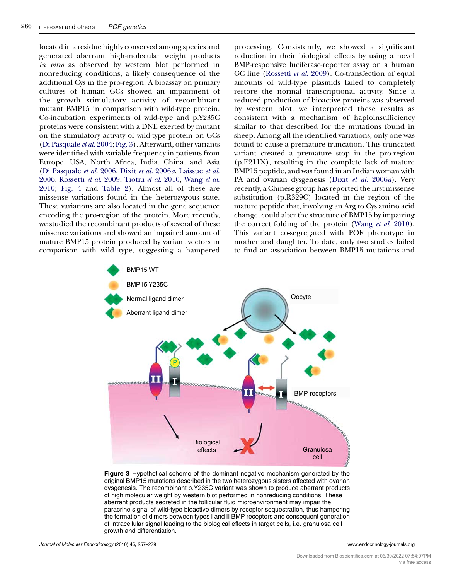located in a residue highly conserved among species and generated aberrant high-molecular weight products in vitro as observed by western blot performed in nonreducing conditions, a likely consequence of the additional Cys in the pro-region. A bioassay on primary cultures of human GCs showed an impairment of the growth stimulatory activity of recombinant mutant BMP15 in comparison with wild-type protein. Co-incubation experiments of wild-type and p.Y235C proteins were consistent with a DNE exerted by mutant on the stimulatory activity of wild-type protein on GCs [\(Di Pasquale](#page-17-0) et al. 2004; Fig. 3). Afterward, other variants were identified with variable frequency in patients from Europe, USA, North Africa, India, China, and Asia [\(Di Pasquale](#page-17-0) et al. 2006, Dixit et al[. 2006](#page-17-0)a, [Laissue](#page-18-0) et al. [2006](#page-18-0), [Rossetti](#page-20-0) et al. 2009, [Tiotiu](#page-21-0) et al. 2010, [Wang](#page-21-0) et al. [2010](#page-21-0); [Fig. 4](#page-10-0) and [Table 2\)](#page-8-0). Almost all of these are missense variations found in the heterozygous state. These variations are also located in the gene sequence encoding the pro-region of the protein. More recently, we studied the recombinant products of several of these missense variations and showed an impaired amount of mature BMP15 protein produced by variant vectors in comparison with wild type, suggesting a hampered processing. Consistently, we showed a significant reduction in their biological effects by using a novel BMP-responsive luciferase-reporter assay on a human GC line [\(Rossetti](#page-20-0) et al. 2009). Co-transfection of equal amounts of wild-type plasmids failed to completely restore the normal transcriptional activity. Since a reduced production of bioactive proteins was observed by western blot, we interpreted these results as consistent with a mechanism of haploinsufficiency similar to that described for the mutations found in sheep. Among all the identified variations, only one was found to cause a premature truncation. This truncated variant created a premature stop in the pro-region (p.E211X), resulting in the complete lack of mature BMP15 peptide, and was found in an Indian woman with PA and ovarian dysgenesis (Dixit et al[. 2006](#page-17-0)a). Very recently, a Chinese group has reported the first missense substitution (p.R329C) located in the region of the mature peptide that, involving an Arg to Cys amino acid change, could alter the structure of BMP15 by impairing the correct folding of the protein (Wang et al[. 2010](#page-21-0)). This variant co-segregated with POF phenotype in mother and daughter. To date, only two studies failed to find an association between BMP15 mutations and



Figure 3 Hypothetical scheme of the dominant negative mechanism generated by the original BMP15 mutations described in the two heterozygous sisters affected with ovarian dysgenesis. The recombinant p.Y235C variant was shown to produce aberrant products of high molecular weight by western blot performed in nonreducing conditions. These aberrant products secreted in the follicular fluid microenvironment may impair the paracrine signal of wild-type bioactive dimers by receptor sequestration, thus hampering the formation of dimers between types I and II BMP receptors and consequent generation of intracellular signal leading to the biological effects in target cells, i.e. granulosa cell growth and differentiation.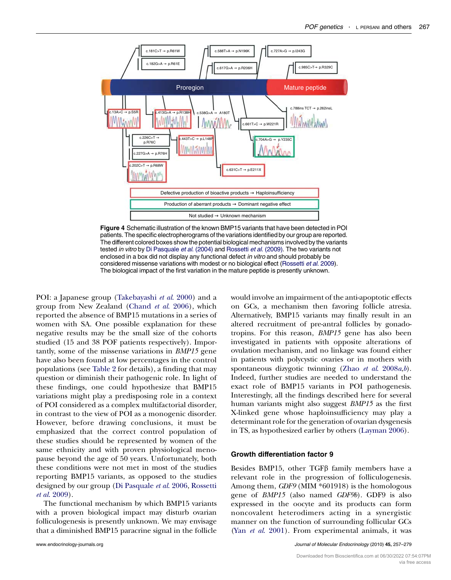<span id="page-10-0"></span>

Figure 4 Schematic illustration of the known BMP15 variants that have been detected in POI patients. The specific electropherograms of the variations identified by our group are reported. The different colored boxes show the potential biological mechanisms involved by the variants tested in vitro by [Di Pasquale](#page-17-0) et al. (2004) and [Rossetti](#page-20-0) et al. (2009). The two variants not enclosed in a box did not display any functional defect in vitro and should probably be considered missense variations with modest or no biological effect ([Rossetti](#page-20-0) et al. 2009). The biological impact of the first variation in the mature peptide is presently unknown.

POI: a Japanese group [\(Takebayashi](#page-21-0) et al. 2000) and a group from New Zealand [\(Chand](#page-16-0) et al. 2006), which reported the absence of BMP15 mutations in a series of women with SA. One possible explanation for these negative results may be the small size of the cohorts studied (15 and 38 POF patients respectively). Importantly, some of the missense variations in BMP15 gene have also been found at low percentages in the control populations (see [Table 2](#page-8-0) for details), a finding that may question or diminish their pathogenic role. In light of these findings, one could hypothesize that BMP15 variations might play a predisposing role in a context of POI considered as a complex multifactorial disorder, in contrast to the view of POI as a monogenic disorder. However, before drawing conclusions, it must be emphasized that the correct control population of these studies should be represented by women of the same ethnicity and with proven physiological menopause beyond the age of 50 years. Unfortunately, both these conditions were not met in most of the studies reporting BMP15 variants, as opposed to the studies designed by our group [\(Di Pasquale](#page-17-0) et al. 2006, [Rossetti](#page-20-0) et al[. 2009\)](#page-20-0).

The functional mechanism by which BMP15 variants with a proven biological impact may disturb ovarian folliculogenesis is presently unknown. We may envisage that a diminished BMP15 paracrine signal in the follicle would involve an impairment of the anti-apoptotic effects on GCs, a mechanism then favoring follicle atresia. Alternatively, BMP15 variants may finally result in an altered recruitment of pre-antral follicles by gonadotropins. For this reason, BMP15 gene has also been investigated in patients with opposite alterations of ovulation mechanism, and no linkage was found either in patients with polycystic ovaries or in mothers with spontaneous dizygotic twinning (Zhao et al.  $2008a,b$  $2008a,b$ ). Indeed, further studies are needed to understand the exact role of BMP15 variants in POI pathogenesis. Interestingly, all the findings described here for several human variants might also suggest BMP15 as the first X-linked gene whose haploinsufficiency may play a determinant role for the generation of ovarian dysgenesis in TS, as hypothesized earlier by others [\(Layman 2006](#page-18-0)).

#### Growth differentiation factor 9

Besides BMP15, other  $TGF\beta$  family members have a relevant role in the progression of folliculogenesis. Among them, GDF9 (MIM \*601918) is the homologous gene of BMP15 (also named GDF9b). GDF9 is also expressed in the oocyte and its products can form noncovalent heterodimers acting in a synergistic manner on the function of surrounding follicular GCs (Yan et al[. 2001\)](#page-21-0). From experimental animals, it was

www.endocrinology-journals.org and the United States of Molecular Endocrinology (2010) 45, 257-279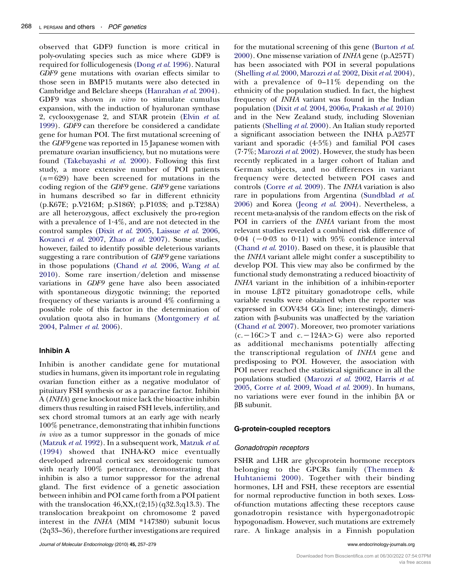observed that GDF9 function is more critical in poly-ovulating species such as mice where GDF9 is required for folliculogenesis (Dong et al[. 1996\)](#page-17-0). Natural GDF9 gene mutations with ovarian effects similar to those seen in BMP15 mutants were also detected in Cambridge and Belclare sheeps [\(Hanrahan](#page-17-0) et al. 2004). GDF9 was shown in vitro to stimulate cumulus expansion, with the induction of hyaluronan synthase 2, cyclooxygenase 2, and STAR protein [\(Elvin](#page-17-0) et al. [1999](#page-17-0)). GDF9 can therefore be considered a candidate gene for human POI. The first mutational screening of the GDF9 gene was reported in 15 Japanese women with premature ovarian insufficiency, but no mutations were found ([Takebayashi](#page-21-0) et al. 2000). Following this first study, a more extensive number of POI patients  $(n=629)$  have been screened for mutations in the coding region of the GDF9 gene. GDF9 gene variations in humans described so far in different ethnicity (p.K67E; p.V216M; p.S186Y; p.P103S; and p.T238A) are all heterozygous, affect exclusively the pro-region with a prevalence of  $1.4\%$ , and are not detected in the control samples (Dixit et al[. 2005,](#page-17-0) [Laissue](#page-18-0) et al. 2006, [Kovanci](#page-18-0) et al. 2007, Zhao et al[. 2007](#page-22-0)). Some studies, however, failed to identify possible deleterious variants suggesting a rare contribution of GDF9 gene variations in those populations [\(Chand](#page-16-0) et al. 2006, [Wang](#page-21-0) et al. [2010](#page-21-0)). Some rare insertion/deletion and missense variations in GDF9 gene have also been associated with spontaneous dizygotic twinning; the reported frequency of these variants is around 4% confirming a possible role of this factor in the determination of ovulation quota also in humans ([Montgomery](#page-19-0) et al. [2004](#page-19-0), [Palmer](#page-19-0) et al. 2006).

# Inhibin A

Inhibin is another candidate gene for mutational studies in humans, given its important role in regulating ovarian function either as a negative modulator of pituitary FSH synthesis or as a paracrine factor. Inhibin A (INHA) gene knockout mice lack the bioactive inhibin dimers thus resulting in raised FSH levels, infertility, and sex chord stromal tumors at an early age with nearly 100% penetrance, demonstrating that inhibin functions in vivo as a tumor suppressor in the gonads of mice [\(Matzuk](#page-19-0) et al. 1992). In a subsequent work, [Matzuk](#page-19-0) et al. [\(1994\)](#page-19-0) showed that INHA-KO mice eventually developed adrenal cortical sex steroidogenic tumors with nearly 100% penetrance, demonstrating that inhibin is also a tumor suppressor for the adrenal gland. The first evidence of a genetic association between inhibin and POI came forth from a POI patient with the translocation  $46, XX, t(2;15)$  (q32.3;q13.3). The translocation breakpoint on chromosome 2 paved interest in the INHA (MIM \*147380) subunit locus (2q33–36), therefore further investigations are required for the mutational screening of this gene [\(Burton](#page-16-0) et al. [2000](#page-16-0)). One missense variation of INHA gene (p.A257T) has been associated with POI in several populations ([Shelling](#page-20-0) et al. 2000, [Marozzi](#page-19-0) et al. 2002, Dixit et al[. 2004](#page-17-0)), with a prevalence of 0–11% depending on the ethnicity of the population studied. In fact, the highest frequency of INHA variant was found in the Indian population (Dixit et al[. 2004](#page-17-0), [2006](#page-17-0)a, [Prakash](#page-20-0) et al. 2010) and in the New Zealand study, including Slovenian patients ([Shelling](#page-20-0) et al. 2000). An Italian study reported a significant association between the INHA p.A257T variant and sporadic (4.5%) and familial POI cases  $(7.7\%;$  [Marozzi](#page-19-0) et al. 2002). However, the study has been recently replicated in a larger cohort of Italian and German subjects, and no differences in variant frequency were detected between POI cases and controls (Corre et al[. 2009\)](#page-16-0). The INHA variation is also rare in populations from Argentina [\(Sundblad](#page-21-0) et al. [2006](#page-21-0)) and Korea (Jeong et al[. 2004](#page-18-0)). Nevertheless, a recent meta-analysis of the random effects on the risk of POI in carriers of the INHA variant from the most relevant studies revealed a combined risk difference of  $0.04$  ( $-0.03$  to 0.11) with 95% confidence interval ([Chand](#page-16-0) et al. 2010). Based on these, it is plausible that the INHA variant allele might confer a susceptibility to develop POI. This view may also be confirmed by the functional study demonstrating a reduced bioactivity of INHA variant in the inhibition of a inhibin-reporter in mouse  $L\beta T2$  pituitary gonadotrope cells, while variable results were obtained when the reporter was expressed in COV434 GCs line; interestingly, dimerization with  $\beta$ -subunits was unaffected by the variation ([Chand](#page-16-0) et al. 2007). Moreover, two promoter variations  $(c. -16C > T$  and  $c. -124A > G$ ) were also reported as additional mechanisms potentially affecting the transcriptional regulation of INHA gene and predisposing to POI. However, the association with POI never reached the statistical significance in all the populations studied [\(Marozzi](#page-19-0) et al. 2002, [Harris](#page-17-0) et al. [2005](#page-17-0), Corre et al[. 2009](#page-16-0), Woad et al[. 2009\)](#page-21-0). In humans, no variations were ever found in the inhibin βA or **BB** subunit.

### G-protein-coupled receptors

#### Gonadotropin receptors

FSHR and LHR are glycoprotein hormone receptors belonging to the GPCRs family ([Themmen &](#page-21-0) [Huhtaniemi 2000\)](#page-21-0). Together with their binding hormones, LH and FSH, these receptors are essential for normal reproductive function in both sexes. Lossof-function mutations affecting these receptors cause gonadotropin resistance with hypergonadotropic hypogonadism. However, such mutations are extremely rare. A linkage analysis in a Finnish population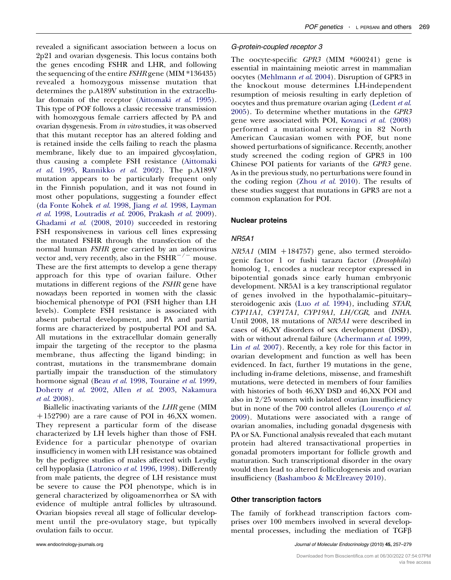revealed a significant association between a locus on 2p21 and ovarian dysgenesis. This locus contains both the genes encoding FSHR and LHR, and following the sequencing of the entire FSHR gene (MIM \*136435) revealed a homozygous missense mutation that determines the p.A189V substitution in the extracellu-lar domain of the receptor ([Aittomaki](#page-15-0) et al. 1995). This type of POF follows a classic recessive transmission with homozygous female carriers affected by PA and ovarian dysgenesis. From in vitro studies, it was observed that this mutant receptor has an altered folding and is retained inside the cells failing to reach the plasma membrane, likely due to an impaired glycosylation, thus causing a complete FSH resistance ([Aittomaki](#page-15-0) et al[. 1995,](#page-15-0) [Rannikko](#page-20-0) et al. 2002). The p.A189V mutation appears to be particularly frequent only in the Finnish population, and it was not found in most other populations, suggesting a founder effect [\(da Fonte Kohek](#page-17-0) et al. 1998, Jiang et al[. 1998,](#page-18-0) [Layman](#page-18-0) et al[. 1998](#page-18-0), [Loutradis](#page-18-0) et al. 2006, [Prakash](#page-20-0) et al. 2009). [Ghadami](#page-17-0) et al. (2008, [2010\)](#page-17-0) succeeded in restoring FSH responsiveness in various cell lines expressing the mutated FSHR through the transfection of the normal human FSHR gene carried by an adenovirus vector and, very recently, also in the  $FSHR^{-/-}$  mouse. These are the first attempts to develop a gene therapy approach for this type of ovarian failure. Other mutations in different regions of the FSHR gene have nowadays been reported in women with the classic biochemical phenotype of POI (FSH higher than LH levels). Complete FSH resistance is associated with absent pubertal development, and PA and partial forms are characterized by postpubertal POI and SA. All mutations in the extracellular domain generally impair the targeting of the receptor to the plasma membrane, thus affecting the ligand binding; in contrast, mutations in the transmembrane domain partially impair the transduction of the stimulatory hormone signal (Beau et al[. 1998,](#page-16-0) [Touraine](#page-21-0) et al. 1999, [Doherty](#page-17-0) et al. 2002, Allen et al[. 2003,](#page-15-0) [Nakamura](#page-19-0) et al[. 2008](#page-19-0)).

Biallelic inactivating variants of the LHR gene (MIM  $+152790$ ) are a rare cause of POI in 46,XX women. They represent a particular form of the disease characterized by LH levels higher than those of FSH. Evidence for a particular phenotype of ovarian insufficiency in women with LH resistance was obtained by the pedigree studies of males affected with Leydig cell hypoplasia [\(Latronico](#page-18-0) et al. 1996, [1998\)](#page-18-0). Differently from male patients, the degree of LH resistance must be severe to cause the POI phenotype, which is in general characterized by oligoamenorrhea or SA with evidence of multiple antral follicles by ultrasound. Ovarian biopsies reveal all stage of follicular development until the pre-ovulatory stage, but typically ovulation fails to occur.

# G-protein-coupled receptor 3

The oocyte-specific GPR3 (MIM \*600241) gene is essential in maintaining meiotic arrest in mammalian oocytes [\(Mehlmann](#page-19-0) et al. 2004). Disruption of GPR3 in the knockout mouse determines LH-independent resumption of meiosis resulting in early depletion of oocytes and thus premature ovarian aging [\(Ledent](#page-18-0) et al. [2005](#page-18-0)). To determine whether mutations in the GPR3 gene were associated with POI, Kovanci et al[. \(2008\)](#page-18-0) performed a mutational screening in 82 North American Caucasian women with POF, but none showed perturbations of significance. Recently, another study screened the coding region of GPR3 in 100 Chinese POI patients for variants of the GPR3 gene. As in the previous study, no perturbations were found in the coding region (Zhou et al[. 2010\)](#page-22-0). The results of these studies suggest that mutations in GPR3 are not a common explanation for POI.

### Nuclear proteins

# NR5A1

 $NR5A1$  (MIM +184757) gene, also termed steroidogenic factor 1 or fushi tarazu factor (Drosophila) homolog 1, encodes a nuclear receptor expressed in bipotential gonads since early human embryonic development. NR5A1 is a key transcriptional regulator of genes involved in the hypothalamic–pituitary– steroidogenic axis (Luo et al[. 1994\)](#page-18-0), including STAR, CYP11A1, CYP17A1, CYP19A1, LH/CGR, and INHA. Until 2008, 18 mutations of NR5A1 were described in cases of 46,XY disorders of sex development (DSD), with or without adrenal failure [\(Achermann](#page-15-0) et al. 1999, Lin et al[. 2007\)](#page-18-0). Recently, a key role for this factor in ovarian development and function as well has been evidenced. In fact, further 19 mutations in the gene, including in-frame deletions, missense, and frameshift mutations, were detected in members of four families with histories of both 46,XY DSD and 46,XX POI and also in 2/25 women with isolated ovarian insufficiency but in none of the 700 control alleles (Lourenço et al. [2009](#page-18-0)). Mutations were associated with a range of ovarian anomalies, including gonadal dysgenesis with PA or SA. Functional analysis revealed that each mutant protein had altered transactivational properties in gonadal promoters important for follicle growth and maturation. Such transcriptional disorder in the ovary would then lead to altered folliculogenesis and ovarian insufficiency ([Bashamboo & McElreavey 2010](#page-15-0)).

### Other transcription factors

The family of forkhead transcription factors comprises over 100 members involved in several developmental processes, including the mediation of  $TGF\beta$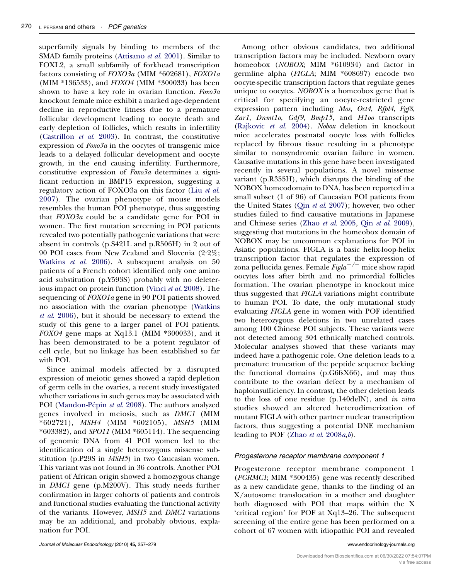superfamily signals by binding to members of the SMAD family proteins [\(Attisano](#page-15-0) et al. 2001). Similar to FOXL2, a small subfamily of forkhead transcription factors consisting of FOXO3a (MIM \*602681), FOXO1a (MIM \*136533), and FOXO4 (MIM \*300033) has been shown to have a key role in ovarian function.  $Foxo3a$ knockout female mice exhibit a marked age-dependent decline in reproductive fitness due to a premature follicular development leading to oocyte death and early depletion of follicles, which results in infertility [\(Castrillon](#page-16-0) et al. 2003). In contrast, the constitutive expression of  $Foxo3a$  in the oocytes of transgenic mice leads to a delayed follicular development and oocyte growth, in the end causing infertility. Furthermore, constitutive expression of  $Foxo3a$  determines a significant reduction in BMP15 expression, suggesting a regulatory action of FOXO3a on this factor (Liu [et al](#page-18-0). [2007\)](#page-18-0). The ovarian phenotype of mouse models resembles the human POI phenotype, thus suggesting that FOXO3a could be a candidate gene for POI in women. The first mutation screening in POI patients revealed two potentially pathogenic variations that were absent in controls (p.S421L and p.R506H) in 2 out of 90 POI cases from New Zealand and Slovenia (2.2%; [Watkins](#page-21-0) et al. 2006). A subsequent analysis on 50 patients of a French cohort identified only one amino acid substitution (p.Y593S) probably with no deleterious impact on protein function (Vinci et al[. 2008\)](#page-21-0). The sequencing of FOXO1a gene in 90 POI patients showed no association with the ovarian phenotype [\(Watkins](#page-21-0) et al[. 2006](#page-21-0)), but it should be necessary to extend the study of this gene to a larger panel of POI patients. FOXO4 gene maps at Xq13.1 (MIM \*300033), and it has been demonstrated to be a potent regulator of cell cycle, but no linkage has been established so far with POI.

Since animal models affected by a disrupted expression of meiotic genes showed a rapid depletion of germ cells in the ovaries, a recent study investigated whether variations in such genes may be associated with POI (Mandon-Pépin et al. 2008). The authors analyzed genes involved in meiosis, such as DMC1 (MIM \*602721), MSH4 (MIM \*602105), MSH5 (MIM \*603382), and SPO11 (MIM \*605114). The sequencing of genomic DNA from 41 POI women led to the identification of a single heterozygous missense substitution (p.P29S in *MSH5*) in two Caucasian women. This variant was not found in 36 controls. Another POI patient of African origin showed a homozygous change in DMC1 gene (p.M200V). This study needs further confirmation in larger cohorts of patients and controls and functional studies evaluating the functional activity of the variants. However, MSH5 and DMC1 variations may be an additional, and probably obvious, explanation for POI.

Among other obvious candidates, two additional transcription factors may be included. Newborn ovary homeobox (NOBOX; MIM \*610934) and factor in germline alpha (FIGLA; MIM \*608697) encode two oocyte-specific transcription factors that regulate genes unique to oocytes. NOBOX is a homeobox gene that is critical for specifying an oocyte-restricted gene expression pattern including Mos, Oct4, Rfpl4, Fgf8, Zar1, Dnmt1o, Gdf9, Bmp15, and H1oo transcripts ([Rajkovic](#page-20-0) et al. 2004). Nobox deletion in knockout mice accelerates postnatal oocyte loss with follicles replaced by fibrous tissue resulting in a phenotype similar to nonsyndromic ovarian failure in women. Causative mutations in this gene have been investigated recently in several populations. A novel missense variant (p.R355H), which disrupts the binding of the NOBOX homeodomain to DNA, has been reported in a small subset (1 of 96) of Caucasian POI patients from the United States (Qin et al[. 2007](#page-20-0)); however, two other studies failed to find causative mutations in Japanese and Chinese series (Zhao et al[. 2005,](#page-21-0) Qin et al[. 2009\)](#page-20-0), suggesting that mutations in the homeobox domain of NOBOX may be uncommon explanations for POI in Asiatic populations. FIGLA is a basic helix-loop-helix transcription factor that regulates the expression of zona pellucida genes. Female  $\mathit{Figla}^{-/-}$  mice show rapid oocytes loss after birth and no primordial follicles formation. The ovarian phenotype in knockout mice thus suggested that FIGLA variations might contribute to human POI. To date, the only mutational study evaluating FIGLA gene in women with POF identified two heterozygous deletions in two unrelated cases among 100 Chinese POI subjects. These variants were not detected among 304 ethnically matched controls. Molecular analyses showed that these variants may indeed have a pathogenic role. One deletion leads to a premature truncation of the peptide sequence lacking the functional domains (p.G6fsX66), and may thus contribute to the ovarian defect by a mechanism of haploinsufficiency. In contrast, the other deletion leads to the loss of one residue (p.140delN), and in vitro studies showed an altered heterodimerization of mutant FIGLA with other partner nuclear transcription factors, thus suggesting a potential DNE mechanism leading to POF (Zhao *et al.*  $2008a,b$  $2008a,b$ ).

### Progesterone receptor membrane component 1

Progesterone receptor membrane component 1 (PGRMC1; MIM \*300435) gene was recently described as a new candidate gene, thanks to the finding of an X/autosome translocation in a mother and daughter both diagnosed with POI that maps within the X 'critical region' for POF at Xq13–26. The subsequent screening of the entire gene has been performed on a cohort of 67 women with idiopathic POI and revealed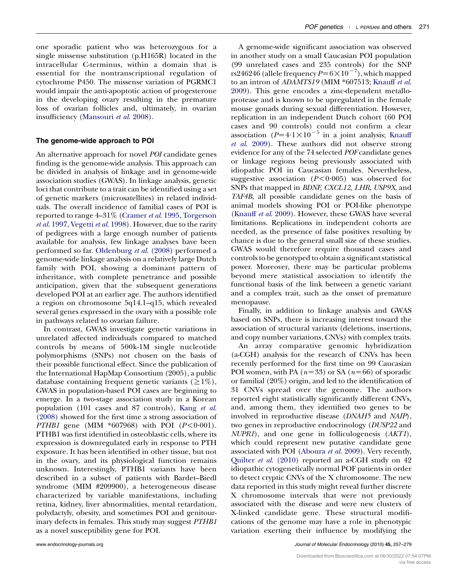one sporadic patient who was heterozygous for a single missense substitution (p.H165R) located in the intracellular C-terminus, within a domain that is essential for the nontranscriptional regulation of cytochrome P450. The missense variation of PGRMC1 would impair the anti-apoptotic action of progesterone in the developing ovary resulting in the premature loss of ovarian follicles and, ultimately, in ovarian insufficiency ([Mansouri](#page-19-0) et al. 2008).

#### The genome-wide approach to POI

An alternative approach for novel *POI* candidate genes finding is the genome-wide analysis. This approach can be divided in analysis of linkage and in genome-wide association studies (GWAS). In linkage analysis, genetic loci that contribute to a trait can be identified using a set of genetic markers (microsatellites) in related individuals. The overall incidence of familial cases of POI is reported to range  $4-31\%$  ([Cramer](#page-16-0) *et al.* 1995, [Torgerson](#page-21-0) et al[. 1997,](#page-21-0) [Vegetti](#page-21-0) et al. 1998). However, due to the rarity of pedigrees with a large enough number of patients available for analysis, few linkage analyses have been performed so far. [Oldenburg](#page-19-0) et al. (2008) performed a genome-wide linkage analysis on a relatively large Dutch family with POI, showing a dominant pattern of inheritance, with complete penetrance and possible anticipation, given that the subsequent generations developed POI at an earlier age. The authors identified a region on chromosome 5q14.1–q15, which revealed several genes expressed in the ovary with a possible role in pathways related to ovarian failure.

In contrast, GWAS investigate genetic variations in unrelated affected individuals compared to matched controls by means of 500k-1M single nucleotide polymorphisms (SNPs) not chosen on the basis of their possible functional effect. Since the publication of the International HapMap Consortium (2005), a public database containing frequent genetic variants ( $\geq 1\%$ ), GWAS in population-based POI cases are beginning to emerge. In a two-stage association study in a Korean population (101 cases and 87 controls), [Kang](#page-18-0) et al. [\(2008\)](#page-18-0) showed for the first time a strong association of *PTHB1* gene (MIM  $*607968$ ) with POI ( $P < 0.001$ ). PTHB1 was first identified in osteoblastic cells, where its expression is downregulated early in response to PTH exposure. It has been identified in other tissue, but not in the ovary, and its physiological function remains unknown. Interestingly, PTHB1 variants have been described in a subset of patients with Bardet–Biedl syndrome (MIM #209900), a heterogeneous disease characterized by variable manifestations, including retina, kidney, liver abnormalities, mental retardation, polydactyly, obesity, and sometimes POI and genitourinary defects in females. This study may suggest PTHB1 as a novel susceptibility gene for POI.

A genome-wide significant association was observed in another study on a small Caucasian POI population (99 unrelated cases and 235 controls) for the SNP rs $246246$  (allele frequency  $P{=}6{\times}10^{-7})$  , which mapped to an intron of ADAMTS19 (MIM \*607513; [Knauff](#page-18-0) et al. [2009](#page-18-0)). This gene encodes a zinc-dependent metalloprotease and is known to be upregulated in the female mouse gonads during sexual differentiation. However, replication in an independent Dutch cohort (60 POI cases and 90 controls) could not confirm a clear association ( $P=4.1 \times 10^{-5}$  in a joint analysis; [Knauff](#page-18-0) et al[. 2009\)](#page-18-0). These authors did not observe strong evidence for any of the 74 selected POF candidate genes or linkage regions being previously associated with idiopathic POI in Caucasian females. Nevertheless, suggestive association  $(P<0.005)$  was observed for SNPs that mapped in BDNF, CXCL12, LHR, USP9X, and TAF4B, all possible candidate genes on the basis of animal models showing POI or POI-like phenotype ([Knauff](#page-18-0) et al. 2009). However, these GWAS have several limitations. Replications in independent cohorts are needed, as the presence of false positives resulting by chance is due to the general small size of these studies. GWAS would therefore require thousand cases and controls to be genotyped to obtain a significant statistical power. Moreover, there may be particular problems beyond mere statistical association to identify the functional basis of the link between a genetic variant and a complex trait, such as the onset of premature menopause.

Finally, in addition to linkage analysis and GWAS based on SNPs, there is increasing interest toward the association of structural variants (deletions, insertions, and copy number variations, CNVs) with complex traits.

An array comparative genomic hybridization (a-CGH) analysis for the research of CNVs has been recently performed for the first time on 99 Caucasian POI women, with PA  $(n=33)$  or SA  $(n=66)$  of sporadic or familial (20%) origin, and led to the identification of 31 CNVs spread over the genome. The authors reported eight statistically significantly different CNVs, and, among them, they identified two genes to be involved in reproductive disease (DNAH5 and NAIP), two genes in reproductive endocrinology (DUSP22 and NUPR1), and one gene in folliculogenesis (AKT1), which could represent new putative candidate gene associated with POI ([Aboura](#page-15-0) et al. 2009). Very recently, Quilter *et al.* (2010) reported an a-CGH study on 42 idiopathic cytogenetically normal POF patients in order to detect cryptic CNVs of the X chromosome. The new data reported in this study might reveal further discrete X chromosome intervals that were not previously associated with the disease and were new clusters of X-linked candidate gene. These structural modifications of the genome may have a role in phenotypic variation exerting their influence by modifying the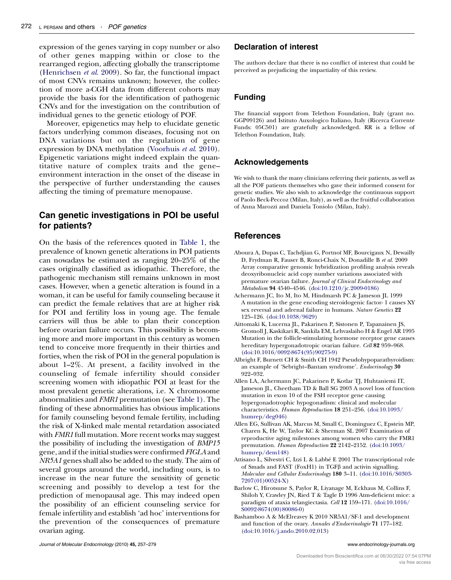<span id="page-15-0"></span>expression of the genes varying in copy number or also of other genes mapping within or close to the rearranged region, affecting globally the transcriptome [\(Henrichsen](#page-17-0) et al. 2009). So far, the functional impact of most CNVs remains unknown; however, the collection of more a-CGH data from different cohorts may provide the basis for the identification of pathogenic CNVs and for the investigation on the contribution of individual genes to the genetic etiology of POF.

Moreover, epigenetics may help to elucidate genetic factors underlying common diseases, focusing not on DNA variations but on the regulation of gene expression by DNA methylation ([Voorhuis](#page-21-0) et al. 2010). Epigenetic variations might indeed explain the quantitative nature of complex traits and the gene– environment interaction in the onset of the disease in the perspective of further understanding the causes affecting the timing of premature menopause.

# Can genetic investigations in POI be useful for patients?

On the basis of the references quoted in [Table 1,](#page-2-0) the prevalence of known genetic alterations in POI patients can nowadays be estimated as ranging 20–25% of the cases originally classified as idiopathic. Therefore, the pathogenic mechanism still remains unknown in most cases. However, when a genetic alteration is found in a woman, it can be useful for family counseling because it can predict the female relatives that are at higher risk for POI and fertility loss in young age. The female carriers will thus be able to plan their conception before ovarian failure occurs. This possibility is becoming more and more important in this century as women tend to conceive more frequently in their thirties and forties, when the risk of POI in the general population is about 1–2%. At present, a facility involved in the counseling of female infertility should consider screening women with idiopathic POI at least for the most prevalent genetic alterations, i.e. X chromosome abnormalities and FMR1 premutation (see [Table 1](#page-2-0)). The finding of these abnormalities has obvious implications for family counseling beyond female fertility, including the risk of X-linked male mental retardation associated with *FMR1* full mutation. More recent works may suggest the possibility of including the investigation of BMP15 gene, and if the initial studies were confirmed FIGLA and NR5A1 genes shall also be added to the study. The aim of several groups around the world, including ours, is to increase in the near future the sensitivity of genetic screening and possibly to develop a test for the prediction of menopausal age. This may indeed open the possibility of an efficient counseling service for female infertility and establish 'ad hoc' interventions for the prevention of the consequences of premature ovarian aging.

### Declaration of interest

The authors declare that there is no conflict of interest that could be perceived as prejudicing the impartiality of this review.

# Funding

The financial support from Telethon Foundation, Italy (grant no. GGP09126) and Istituto Auxologico Italiano, Italy (Ricerca Corrente Funds: 05C501) are gratefully acknowledged. RR is a fellow of Telethon Foundation, Italy.

# Acknowledgements

We wish to thank the many clinicians referring their patients, as well as all the POF patients themselves who gave their informed consent for genetic studies. We also wish to acknowledge the continuous support of Paolo Beck-Peccoz (Milan, Italy), as well as the fruitful collaboration of Anna Marozzi and Daniela Toniolo (Milan, Italy).

# References

- Aboura A, Dupas C, Tachdjian G, Portnoı¨ MF, Bourcigaux N, Dewailly D, Frydman R, Fauser B, Ronci-Chaix N, Donadille B et al. 2009 Array comparative genomic hybridization profiling analysis reveals deoxyribonucleic acid copy number variations associated with premature ovarian failure. Journal of Clinical Endocrinology and Metabolism 94 4540–4546. [\(doi:10.1210/jc.2009-0186\)](http://dx.doi.org/10.1210/jc.2009-0186)
- Achermann JC, Ito M, Ito M, Hindmarsh PC & Jameson JL 1999 A mutation in the gene encoding steroidogenic factor- 1 causes XY sex reversal and adrenal failure in humans. Nature Genetics 22 125–126. ([doi:10.1038/9629\)](http://dx.doi.org/10.1038/9629)
- Aittomaki K, Lucerna JL, Pakarinen P, Sistonen P, Tapanainen JS, Gromoll J, Kaskikari R, Sankila EM, Lehvaslaiho H & Engel AR 1995 Mutation in the follicle-stimulating hormone receptor gene causes hereditary hypergonadotropic ovarian failure. Cell 82 959–968. ([doi:10.1016/0092-8674\(95\)90275-9](http://dx.doi.org/10.1016/0092-8674(95)90275-9))
- Albright F, Burnett CH & Smith CH 1942 Pseudohypoparathyroidism: an example of 'Sebright–Bantam syndrome'. Endocrinology 30 922–932.
- Allen LA, Achermann JC, Pakarinen P, Kotlar TJ, Huhtaniemi IT, Jameson JL, Cheetham TD & Ball SG 2003 A novel loss of function mutation in exon 10 of the FSH receptor gene causing hypergonadotrophic hypogonadism: clinical and molecular characteristics. Human Reproduction 18 251–256. ([doi:10.1093/](http://dx.doi.org/10.1093/humrep/deg046) [humrep/deg046\)](http://dx.doi.org/10.1093/humrep/deg046)
- Allen EG, Sullivan AK, Marcus M, Small C, Dominguez C, Epstein MP, Charen K, He W, Taylor KC & Sherman SL 2007 Examination of reproductive aging milestones among women who carry the FMR1 premutation. Human Reproduction 22 2142–2152. ([doi:10.1093/](http://dx.doi.org/10.1093/humrep/dem148) [humrep/dem148](http://dx.doi.org/10.1093/humrep/dem148))
- Attisano L, Silvestri C, Izzi L & Labbé E 2001 The transcriptional role of Smads and FAST (FoxH1) in TGF $\beta$  and activin signalling. Molecular and Cellular Endocrinology 180 3–11. ([doi:10.1016/S0303-](http://dx.doi.org/10.1016/S0303-7207(01)00524-X) [7207\(01\)00524-X](http://dx.doi.org/10.1016/S0303-7207(01)00524-X))
- Barlow C, Hirotsune S, Paylor R, Liyanage M, Eckhaus M, Collins F, Shiloh Y, Crawley JN, Ried T & Tagle D 1996 Atm-deficient mice: a paradigm of ataxia telangiectasia. Cell 12 159–171. [\(doi:10.1016/](http://dx.doi.org/10.1016/S0092-8674(00)80086-0) [S0092-8674\(00\)80086-0\)](http://dx.doi.org/10.1016/S0092-8674(00)80086-0)
- Bashamboo A & McElreavey K 2010 NR5A1/SF-1 and development and function of the ovary. Annales d'Endocrinologie 71 177–182. ([doi:10.1016/j.ando.2010.02.013](http://dx.doi.org/10.1016/j.ando.2010.02.013))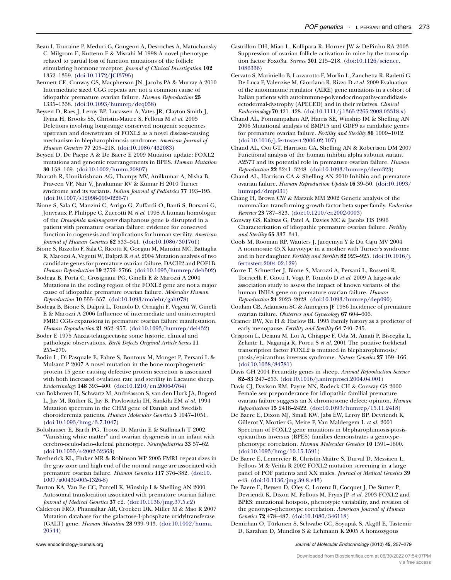- <span id="page-16-0"></span>Beau I, Touraine P, Meduri G, Gougeon A, Desroches A, Matuchansky C, Milgrom E, Kuttenn F & Misrahi M 1998 A novel phenotype related to partial loss of function mutations of the follicle stimulating hormone receptor. Journal of Clinical Investigation 102 1352–1359. ([doi:10.1172/JCI3795\)](http://dx.doi.org/10.1172/JCI3795)
- Bennett CE, Conway GS, Macpherson JN, Jacobs PA & Murray A 2010 Intermediate sized CGG repeats are not a common cause of idiopathic premature ovarian failure. Human Reproduction 25 1335–1338. ([doi:10.1093/humrep/deq058\)](http://dx.doi.org/10.1093/humrep/deq058)
- Beysen D, Raes J, Leroy BP, Lucassen A, Yates JR, Clayton-Smith J, Ilyina H, Brooks SS, Christin-Maitre S, Fellous M et al. 2005 Deletions involving long-range conserved nongenic sequences upstream and downstream of FOXL2 as a novel disease-causing mechanism in blepharophimosis syndrome. American Journal of Human Genetics 77 205–218. ([doi:10.1086/432083](http://dx.doi.org/10.1086/432083))
- Beysen D, De Paepe A & De Baere E 2009 Mutation update: FOXL2 mutations and genomic rearrangements in BPES. Human Mutation 30 158–169. ([doi:10.1002/humu.20807](http://dx.doi.org/10.1002/humu.20807))
- Bharath R, Unnikrishnan AG, Thampy MV, Anilkumar A, Nisha B, Praveen VP, Nair V, Jayakumar RV & Kumar H 2010 Turner syndrome and its variants. Indian Journal of Pediatrics 77 193–195. ([doi:10.1007/s12098-009-0226-7\)](http://dx.doi.org/10.1007/s12098-009-0226-7)
- Bione S, Sala C, Manzini C, Arrigo G, Zuffardi O, Banfi S, Borsani G, Jonveaux P, Philippe C, Zuccotti M et al. 1998 A human homologue of the Drosophila melanogaster diaphanous gene is disrupted in a patient with premature ovarian failure: evidence for conserved function in oogenesis and implications for human sterility. American Journal of Human Genetics 62 533–541. [\(doi:10.1086/301761](http://dx.doi.org/10.1086/301761))
- Bione S, Rizzolio F, Sala C, Ricotti R, Goegan M, Manzini MC, Battaglia R, Marozzi A, Vegetti W, Dalprà R et al. 2004 Mutation analysis of two candidate genes for premature ovarian failure, DACH2 and POF1B. Human Reproduction 19 2759–2766. ([doi:10.1093/humrep/deh502](http://dx.doi.org/10.1093/humrep/deh502))
- Bodega B, Porta C, Crosignani PG, Ginelli E & Marozzi A 2004 Mutations in the coding region of the FOXL2 gene are not a major cause of idiopathic premature ovarian failure. Molecular Human Reproduction 10 555–557. ([doi:10.1093/molehr/gah078](http://dx.doi.org/10.1093/molehr/gah078))
- Bodega B, Bione S, Dalpra` L, Toniolo D, Ornaghi F, Vegetti W, Ginelli E & Marozzi A 2006 Influence of intermediate and uninterrupted FMR1 CGG expansions in premature ovarian failure manifestation. Human Reproduction 21 952–957. [\(doi:10.1093/humrep/dei432\)](http://dx.doi.org/10.1093/humrep/dei432)
- Boder E 1975 Ataxia-telangiectasia: some historic, clinical and pathologic observations. Birth Defects Original Article Series 11 255–270.
- Bodin L, Di Pasquale E, Fabre S, Bontoux M, Monget P, Persani L & Mulsant P 2007 A novel mutation in the bone morphogenetic protein 15 gene causing defective protein secretion is associated with both increased ovulation rate and sterility in Lacaune sheep. Endocrinology 148 393–400. [\(doi:10.1210/en.2006-0764\)](http://dx.doi.org/10.1210/en.2006-0764)
- van Bokhoven H, Schwartz M, Andre´asson S, van den Hurk JA, Bogerd L, Jay M, Rüther K, Jay B, Pawlowitzki IH, Sankila EM et al. 1994 Mutation spectrum in the CHM gene of Danish and Swedish choroideremia patients. Human Molecular Genetics 3 1047–1051. ([doi:10.1093/hmg/3.7.1047](http://dx.doi.org/10.1093/hmg/3.7.1047))
- Boltshauser E, Barth PG, Troost D, Martin E & Stallmach T 2002 "Vanishing white matter" and ovarian dysgenesis in an infant with cerebro-oculo-facio-skeletal phenotype. Neuropediatrics 33 57–62. ([doi:10.1055/s-2002-32363](http://dx.doi.org/10.1055/s-2002-32363))
- Bretherick KL, Fluker MR & Robinson WP 2005 FMR1 repeat sizes in the gray zone and high end of the normal range are associated with premature ovarian failure. Human Genetics 117 376–382. [\(doi:10.](http://dx.doi.org/10.1007/s00439-005-1326-8) [1007/s00439-005-1326-8\)](http://dx.doi.org/10.1007/s00439-005-1326-8)
- Burton KA, Van Ee CC, Purcell K, Winship I & Shelling AN 2000 Autosomal translocation associated with premature ovarian failure. Journal of Medical Genetics 37 e2. ([doi:10.1136/jmg.37.5.e2\)](http://dx.doi.org/10.1136/jmg.37.5.e2)
- Calderon FRO, Phansalkar AR, Crockett DK, Miller M & Mao R 2007 Mutation database for the galactose-1-phosphate uridyltransferase (GALT) gene. Human Mutation 28 939–943. [\(doi:10.1002/humu.](http://dx.doi.org/10.1002/humu.20544) [20544\)](http://dx.doi.org/10.1002/humu.20544)
- Castrillon DH, Miao L, Kollipara R, Horner JW & DePinho RA 2003 Suppression of ovarian follicle activation in mice by the transcription factor Foxo3a. Science 301 215–218. [\(doi:10.1126/science.](http://dx.doi.org/10.1126/science.1086336) [1086336\)](http://dx.doi.org/10.1126/science.1086336)
- Cervato S, Mariniello B, Lazzarotto F, Morlin L, Zanchetta R, Radetti G, De Luca F, Valenzise M, Giordano R, Rizzo D et al. 2009 Evaluation of the autoimmune regulator (AIRE) gene mutations in a cohort of Italian patients with autoimmune-polyendocrinopathy-candidiasisectodermal-dystrophy (APECED) and in their relatives. Clinical Endocrinology 70 421–428. [\(doi:10.1111/j.1365-2265.2008.03318.x\)](http://dx.doi.org/10.1111/j.1365-2265.2008.03318.x)
- Chand AL, Ponnampalam AP, Harris SE, Winship IM & Shelling AN 2006 Mutational analysis of BMP15 and GDF9 as candidate genes for premature ovarian failure. Fertility and Sterility 86 1009–1012. ([doi:10.1016/j.fertnstert.2006.02.107](http://dx.doi.org/10.1016/j.fertnstert.2006.02.107))
- Chand AL, Ooi GT, Harrison CA, Shelling AN & Robertson DM 2007 Functional analysis of the human inhibin alpha subunit variant A257T and its potential role in premature ovarian failure. Human Reproduction 22 3241–3248. ([doi:10.1093/humrep/dem323](http://dx.doi.org/10.1093/humrep/dem323))
- Chand AL, Harrison CA & Shelling AN 2010 Inhibin and premature ovarian failure. Human Reproduction Update 16 39–50. [\(doi:10.1093/](http://dx.doi.org/10.1093/humupd/dmp031) [humupd/dmp031](http://dx.doi.org/10.1093/humupd/dmp031))
- Chang H, Brown CW & Matzuk MM 2002 Genetic analysis of the mammalian transforming growth factor-beta superfamily. Endocrine Reviews 23 787–823. [\(doi:10.1210/er.2002-0003](http://dx.doi.org/10.1210/er.2002-0003))
- Conway GS, Kaltsas G, Patel A, Davies MC & Jacobs HS 1996 Characterization of idiopathic premature ovarian failure. Fertility and Sterility 65 337–341.
- Cools M, Rooman RP, Wauters J, Jacqemyn Y & Du Caju MV 2004 A nonmosaic 45,X karyotype in a mother with Turner's syndrome and in her daughter. Fertility and Sterility 82 923–925. [\(doi:10.1016/j.](http://dx.doi.org/10.1016/j.fertnstert.2004.02.129) [fertnstert.2004.02.129\)](http://dx.doi.org/10.1016/j.fertnstert.2004.02.129)
- Corre T, Schuettler J, Bione S, Marozzi A, Persani L, Rossetti R, Torricelli F, Giotti I, Vogt P, Toniolo D et al. 2009 A large-scale association study to assess the impact of known variants of the human INHA gene on premature ovarian failure. Human Reproduction 24 2023–2028. ([doi:10.1093/humrep/dep090\)](http://dx.doi.org/10.1093/humrep/dep090)
- Coulam CB, Adamson SC & Annegers JF 1986 Incidence of premature ovarian failure. Obstetrics and Gynecology 67 604–606.
- Cramer DW, Xu H & Harlow BL 1995 Family history as a predictor of early menopause. Fertility and Sterility 64 740-745.
- Crisponi L, Deiana M, Loi A, Chiappe F, Uda M, Amati P, Bisceglia L, Zelante L, Nagaraja R, Porcu S et al. 2001 The putative forkhead transcription factor FOXL2 is mutated in blepharophimosis/ ptosis/epicanthus inversus syndrome. Nature Genetics 27 159–166. ([doi:10.1038/84781](http://dx.doi.org/10.1038/84781))
- Davis GH 2004 Fecundity genes in sheep. Animal Reproduction Science 82–83 247–253. ([doi:10.1016/j.anireprosci.2004.04.001](http://dx.doi.org/10.1016/j.anireprosci.2004.04.001))
- Davis CJ, Davison RM, Payne NN, Rodeck CH & Conway GS 2000 Female sex preponderance for idiopathic familial premature ovarian failure suggests an X chromosome defect: opinion. Human Reproduction 15 2418–2422. ([doi:10.1093/humrep/15.11.2418\)](http://dx.doi.org/10.1093/humrep/15.11.2418)
- De Baere E, Dixon MJ, Small KW, Jabs EW, Leroy BP, Devriendt K, Gillerot Y, Mortier G, Meire F, Van Maldergem L et al. 2001 Spectrum of FOXL2 gene mutations in blepharophimosis-ptosisepicanthus inversus (BPES) families demonstrates a genotype– phenotype correlation. Human Molecular Genetics 10 1591–1600. ([doi:10.1093/hmg/10.15.1591](http://dx.doi.org/10.1093/hmg/10.15.1591))
- De Baere E, Lemercier B, Christin-Maitre S, Durval D, Messiaen L, Fellous M & Veitia R 2002 FOXL2 mutation screening in a large panel of POF patients and XX males. Journal of Medical Genetics 39 e43. [\(doi:10.1136/jmg.39.8.e43](http://dx.doi.org/10.1136/jmg.39.8.e43))
- De Baere E, Beysen D, Oley C, Lorenz B, Cocquet J, De Sutter P, Devriendt K, Dixon M, Fellous M, Fryns JP et al. 2003 FOXL2 and BPES: mutational hotspots, phenotypic variability, and revision of the genotype–phenotype correlation. American Journal of Human Genetics 72 478–487. [\(doi:10.1086/346118\)](http://dx.doi.org/10.1086/346118)
- Demirhan O, Türkmen S, Schwabe GC, Soyupak S, Akgül E, Tastemir D, Karahan D, Mundlos S & Lehmann K 2005 A homozygous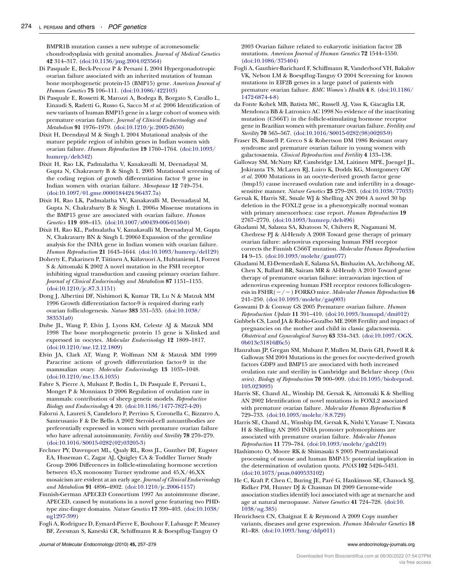<span id="page-17-0"></span>BMPR1B mutation causes a new subtype of acromesomelic chondrodysplasia with genital anomalies. Journal of Medical Genetics 42 314–317. ([doi:10.1136/jmg.2004.023564](http://dx.doi.org/10.1136/jmg.2004.023564))

- Di Pasquale E, Beck-Peccoz P & Persani L 2004 Hypergonadotropic ovarian failure associated with an inherited mutation of human bone morphogenetic protein-15 (BMP15) gene. American Journal of Human Genetics 75 106–111. ([doi:10.1086/422103](http://dx.doi.org/10.1086/422103))
- Di Pasquale E, Rossetti R, Marozzi A, Bodega B, Borgato S, Cavallo L, Einaudi S, Radetti G, Russo G, Sacco M et al. 2006 Identification of new variants of human BMP15 gene in a large cohort of women with premature ovarian failure. Journal of Clinical Endocrinology and Metabolism 91 1976–1979. [\(doi:10.1210/jc.2005-2650\)](http://dx.doi.org/10.1210/jc.2005-2650)
- Dixit H, Deendayal M & Singh L 2004 Mutational analysis of the mature peptide region of inhibin genes in Indian women with ovarian failure. Human Reproduction 19 1760–1764. [\(doi:10.1093/](http://dx.doi.org/10.1093/humrep/deh342) [humrep/deh342](http://dx.doi.org/10.1093/humrep/deh342))
- Dixit H, Rao LK, Padmalatha V, Kanakavalli M, Deenadayal M, Gupta N, Chakravarty B & Singh L 2005 Mutational screening of the coding region of growth differentiation factor 9 gene in Indian women with ovarian failure. Menopause 12 749–754. ([doi:10.1097/01.gme.0000184424.96437.7a\)](http://dx.doi.org/10.1097/01.gme.0000184424.96437.7a)
- Dixit H, Rao LK, Padmalatha VV, Kanakavalli M, Deenadayal M, Gupta N, Chakrabarty B & Singh L 2006a Missense mutations in the BMP15 gene are associated with ovarian failure. Human Genetics 119 408–415. ([doi:10.1007/s00439-006-0150-0\)](http://dx.doi.org/10.1007/s00439-006-0150-0)
- Dixit H, Rao KL, Padmalatha V, Kanakavalli M, Deenadayal M, Gupta N, Chakravarty BN & Singh L 2006b Expansion of the germline analysis for the INHA gene in Indian women with ovarian failure. Human Reproduction 21 1643–1644. [\(doi:10.1093/humrep/del129](http://dx.doi.org/10.1093/humrep/del129))
- Doherty E, Pakarinen P, Tiitinen A, Kiilavuori A, Huhtaniemi I, Forrest S & Aittomaki K 2002 A novel mutation in the FSH receptor inhibiting signal transduction and causing primary ovarian failure. Journal of Clinical Endocrinology and Metabolism 87 1151-1155. ([doi:10.1210/jc.87.3.1151](http://dx.doi.org/10.1210/jc.87.3.1151))
- Dong J, Albertini DF, Nishimori K, Kumar TR, Lu N & Matzuk MM 1996 Growth differentiation factor-9 is required during early ovarian folliculogenesis. Nature 383 531–535. [\(doi:10.1038/](http://dx.doi.org/10.1038/383531a0) [383531a0](http://dx.doi.org/10.1038/383531a0))
- Dube JL, Wang P, Elvin J, Lyons KM, Celeste AJ & Matzuk MM 1998 The bone morphogenetic protein 15 gene is X-linked and expressed in oocytes. Molecular Endocrinology 12 1809–1817. ([doi:10.1210/me.12.12.1809](http://dx.doi.org/10.1210/me.12.12.1809))
- Elvin JA, Clark AT, Wang P, Wolfman NM & Matzuk MM 1999 Paracrine actions of growth differentiation factor-9 in the mammalian ovary. Molecular Endocrinology 13 1035–1048. ([doi:10.1210/me.13.6.1035](http://dx.doi.org/10.1210/me.13.6.1035))
- Fabre S, Pierre A, Mulsant P, Bodin L, Di Pasquale E, Persani L, Monget P & Monniaux D 2006 Regulation of ovulation rate in mammals: contribution of sheep genetic models. Reproductive Biology and Endocrinology 4 20. [\(doi:10.1186/1477-7827-4-20\)](http://dx.doi.org/10.1186/1477-7827-4-20)
- Falorni A, Laureti S, Candeloro P, Perrino S, Coronella C, Bizzarro A, Santeusanio F & De Bellis A 2002 Steroid-cell autoantibodies are preferentially expressed in women with premature ovarian failure who have adrenal autoimmunity. Fertility and Sterility 78 270-279. ([doi:10.1016/S0015-0282\(02\)03205-3](http://dx.doi.org/10.1016/S0015-0282(02)03205-3))
- Fechner PY, Davenport ML, Qualy RL, Ross JL, Gunther DF, Eugster EA, Huseman C, Zagar AJ, Quigley CA & Toddler Turner Study Group 2006 Differences in follicle-stimulating hormone secretion between 45,X monosomy Turner syndrome and 45,X/46,XX mosaicism are evident at an early age. Journal of Clinical Endocrinology and Metabolism 91 4896–4902. [\(doi:10.1210/jc.2006-1157\)](http://dx.doi.org/10.1210/jc.2006-1157)
- Finnish-German APECED Consortium 1997 An autoimmune disease, APECED, caused by mutations in a novel gene featuring two PHDtype zinc-finger domains. Nature Genetics 17 399–403. [\(doi:10.1038/](http://dx.doi.org/10.1038/ng1297-399) [ng1297-399\)](http://dx.doi.org/10.1038/ng1297-399)
- Fogli A, Rodriguez D, Eymard-Pierre E, Bouhour F, Labauge P, Meaney BF, Zeesman S, Kaneski CR, Schiffmann R & Boespflug-Tanguy O

2003 Ovarian failure related to eukaryotic initiation factor 2B mutations. American Journal of Human Genetics 72 1544–1550. ([doi:10.1086/375404](http://dx.doi.org/10.1086/375404))

- Fogli A, Gauthier-Barichard F, Schiffmann R, Vanderhoof VH, Bakalov VK, Nelson LM & Boespflug-Tanguy O 2004 Screening for known mutations in EIF2B genes in a large panel of patients with premature ovarian failure. BMC Women's Health 4 8. ([doi:10.1186/](http://dx.doi.org/10.1186/1472-6874-4-8) [1472-6874-4-8\)](http://dx.doi.org/10.1186/1472-6874-4-8)
- da Fonte Kohek MB, Batista MC, Russell AJ, Vass K, Giacaglia LR, Mendonca BB & Latronico AC 1998 No evidence of the inactivating mutation (C566T) in the follicle-stimulating hormone receptor gene in Brazilian women with premature ovarian failure. Fertility and Sterility 70 565–567. [\(doi:10.1016/S0015-0282\(98\)00203-9\)](http://dx.doi.org/10.1016/S0015-0282(98)00203-9)
- Fraser IS, Russell P, Greco S & Robertson DM 1986 Resistant ovary syndrome and premature ovarian failure in young women with galactosaemia. Clinical Reproduction and Fertility 4 133–138.
- Galloway SM, McNatty KP, Cambridge LM, Laitinen MPE, Juengel JL, Jokiranta TS, McLaren RJ, Luiro K, Dodds KG, Montgomery GW et al. 2000 Mutations in an oocyte-derived growth factor gene (bmp15) cause increased ovulation rate and infertility in a dosagesensitive manner. Nature Genetics 25 279–283. ([doi:10.1038/77033](http://dx.doi.org/10.1038/77033))
- Gersak K, Harris SE, Smale WJ & Shelling AN 2004 A novel 30 bp deletion in the FOXL2 gene in a phenotypically normal woman with primary amenorrhoea: case report. Human Reproduction 19 2767–2770. ([doi:10.1093/humrep/deh496](http://dx.doi.org/10.1093/humrep/deh496))
- Ghadami M, Salama SA, Khatoon N, Chilvers R, Nagamani M, Chedrese PJ & Al-Hendy A 2008 Toward gene therapy of primary ovarian failure: adenovirus expressing human FSH receptor corrects the Finnish C566T mutation. Molecular Human Reproduction 14 9–15. [\(doi:10.1093/molehr/gam077\)](http://dx.doi.org/10.1093/molehr/gam077)
- Ghadami M, El-Demerdash E, Salama SA, Binhazim AA, Archibong AE, Chen X, Ballard BR, Sairam MR & Al-Hendy A 2010 Toward gene therapy of premature ovarian failure: intraovarian injection of adenovirus expressing human FSH receptor restores folliculogenesis in  $FSHR(-/-)$  FORKO mice. Molecular Human Reproduction 16 241–250. ([doi:10.1093/molehr/gaq003\)](http://dx.doi.org/10.1093/molehr/gaq003)
- Goswami D & Conway GS 2005 Premature ovarian failure. Human Reproduction Update 11 391–410. [\(doi:10.1093/humupd/dmi012\)](http://dx.doi.org/10.1093/humupd/dmi012)
- Gubbels CS, Land JA & Rubio-Gozalbo ME 2008 Fertility and impact of pregnancies on the mother and child in classic galactosemia. Obstetrical and Gynecological Survey 63 334–343. [\(doi:10.1097/OGX.](http://dx.doi.org/10.1097/OGX.0b013e31816ff6c5) [0b013e31816ff6c5](http://dx.doi.org/10.1097/OGX.0b013e31816ff6c5))
- Hanrahan JP, Gregan SM, Mulsant P, Mullen M, Davis GH, Powell R & Galloway SM 2004 Mutations in the genes for oocyte-derived growth factors GDF9 and BMP15 are associated with both increased ovulation rate and sterility in Cambridge and Belclare sheep (Ovis aries). Biology of Reproduction 70 900–909. ([doi:10.1095/biolreprod.](http://dx.doi.org/10.1095/biolreprod.103.023093) [103.023093](http://dx.doi.org/10.1095/biolreprod.103.023093))
- Harris SE, Chand AL, Winship IM, Gersak K, Aittomaki K & Shelling AN 2002 Identification of novel mutations in FOXL2 associated with premature ovarian failure. Molecular Human Reproduction 8 729–733. ([doi:10.1093/molehr/8.8.729\)](http://dx.doi.org/10.1093/molehr/8.8.729)
- Harris SE, Chand AL, Winship IM, Gersak K, Nishi Y, Yanase T, Nawata H & Shelling AN 2005 INHA promoter polymorphisms are associated with premature ovarian failure. Molecular Human Reproduction 11 779–784. ([doi:10.1093/molehr/gah219](http://dx.doi.org/10.1093/molehr/gah219))
- Hashimoto O, Moore RK & Shimasaki S 2005 Posttranslational processing of mouse and human BMP-15: potential implication in the determination of ovulation quota. PNAS 102 5426–5431. ([doi:10.1073/pnas.0409533102](http://dx.doi.org/10.1073/pnas.0409533102))
- He C, Kraft P, Chen C, Buring JE, Paré G, Hankinson SE, Chanock SJ, Ridker PM, Hunter DJ & Chasman DI 2009 Genome-wide association studies identify loci associated with age at menarche and age at natural menopause. Nature Genetics 41 724–728. [\(doi:10.](http://dx.doi.org/10.1038/ng.385) [1038/ng.385](http://dx.doi.org/10.1038/ng.385))
- Henrichsen CN, Chaignat E & Reymond A 2009 Copy number variants, diseases and gene expression. Human Molecular Genetics 18 R1–R8. [\(doi:10.1093/hmg/ddp011\)](http://dx.doi.org/10.1093/hmg/ddp011)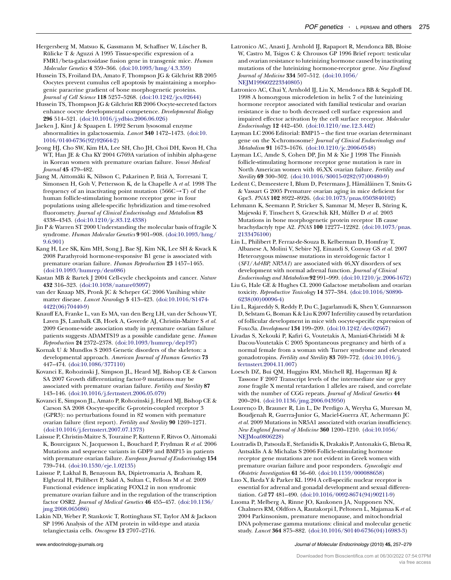<span id="page-18-0"></span>Hergersberg M, Matsuo K, Gassmann M, Schaffner W, Lüscher B, Rülicke T & Aguzzi A 1995 Tissue-specific expression of a FMR1/beta-galactosidase fusion gene in transgenic mice. Human Molecular Genetics 4 359–366. ([doi:10.1093/hmg/4.3.359\)](http://dx.doi.org/10.1093/hmg/4.3.359)

Hussein TS, Froiland DA, Amato F, Thompson JG & Gilchrist RB 2005 Oocytes prevent cumulus cell apoptosis by maintaining a morphogenic paracrine gradient of bone morphogenetic proteins. Journal of Cell Science 118 5257–5268. [\(doi:10.1242/jcs.02644](http://dx.doi.org/10.1242/jcs.02644))

Hussein TS, Thompson JG & Gilchrist RB 2006 Oocyte-secreted factors enhance oocyte developmental competence. Developmental Biology 296 514–521. ([doi:10.1016/j.ydbio.2006.06.026\)](http://dx.doi.org/10.1016/j.ydbio.2006.06.026)

Jaeken J, Kint J & Spaapen L 1992 Serum lysosomal enzyme abnormalities in galactosaemia. Lancet 340 1472–1473. [\(doi:10.](http://dx.doi.org/10.1016/0140-6736(92)92664-2) [1016/0140-6736\(92\)92664-2\)](http://dx.doi.org/10.1016/0140-6736(92)92664-2)

Jeong HJ, Cho SW, Kim HA, Lee SH, Cho JH, Choi DH, Kwon H, Cha WT, Han JE & Cha KY 2004 G769A variation of inhibin alpha-gene in Korean women with premature ovarian failure. Yonsei Medical Journal 45 479–482.

Jiang M, Aittomäki K, Nilsson C, Pakarinen P, Iitiä A, Torresani T, Simonsen H, Goh V, Pettersson K, de la Chapelle A et al. 1998 The frequency of an inactivating point mutation  $(566C \rightarrow T)$  of the human follicle-stimulating hormone receptor gene in four populations using allele-specific hybridization and time-resolved fluorometry. Journal of Clinical Endocrinology and Metabolism 83 4338–4343. ([doi:10.1210/jc.83.12.4338](http://dx.doi.org/10.1210/jc.83.12.4338))

Jin P & Warren ST 2000 Understanding the molecular basis of fragile X syndrome. Human Molecular Genetics 9 901–908. ([doi:10.1093/hmg/](http://dx.doi.org/10.1093/hmg/9.6.901) [9.6.901\)](http://dx.doi.org/10.1093/hmg/9.6.901)

Kang H, Lee SK, Kim MH, Song J, Bae SJ, Kim NK, Lee SH & Kwack K 2008 Parathyroid hormone-responsive B1 gene is associated with premature ovarian failure. Human Reproduction 23 1457–1465. ([doi:10.1093/humrep/den086\)](http://dx.doi.org/10.1093/humrep/den086)

Kastan MB & Bartek J 2004 Cell-cycle checkpoints and cancer. Nature 432 316–323. ([doi:10.1038/nature03097](http://dx.doi.org/10.1038/nature03097))

van der Knaap MS, Pronk JC & Scheper GC 2006 Vanihing white matter disease. Lancet Neurology 5 413–423. [\(doi:10.1016/S1474-](http://dx.doi.org/10.1016/S1474-4422(06)70440-9) [4422\(06\)70440-9](http://dx.doi.org/10.1016/S1474-4422(06)70440-9))

Knauff EA, Franke L, van Es MA, van den Berg LH, van der Schouw YT, Laven JS, Lambalk CB, Hoek A, Goverde AJ, Christin-Maitre S et al. 2009 Genome-wide association study in premature ovarian failure patients suggests ADAMTS19 as a possible candidate gene. Human Reproduction 24 2372–2378. ([doi:10.1093/humrep/dep197\)](http://dx.doi.org/10.1093/humrep/dep197)

Kornak U & Mundlos S 2003 Genetic disorders of the skeleton: a developmental approach. American Journal of Human Genetics 73 447–474. ([doi:10.1086/377110\)](http://dx.doi.org/10.1086/377110)

Kovanci E, Rohozinski J, Simpson JL, Heard MJ, Bishop CE & Carson SA 2007 Growth differentiating factor-9 mutations may be associated with premature ovarian failure. Fertility and Sterility 87 143–146. ([doi:10.1016/j.fertnstert.2006.05.079](http://dx.doi.org/10.1016/j.fertnstert.2006.05.079))

Kovanci E, Simpson JL, Amato P, Rohozinski J, Heard MJ, Bishop CE & Carson SA 2008 Oocyte-specific G-protein-coupled receptor 3 (GPR3): no perturbations found in 82 women with premature ovarian failure (first report). Fertility and Sterility 90 1269–1271. ([doi:10.1016/j.fertnstert.2007.07.1373\)](http://dx.doi.org/10.1016/j.fertnstert.2007.07.1373)

Laissue P, Christin-Maitre S, Touraine P, Kuttenn F, Ritvos O, Aittomaki K, Bourcigaux N, Jacquesson L, Bouchard P, Frydman R et al. 2006 Mutations and sequence variants in GDF9 and BMP15 in patients with premature ovarian failure. European Journal of Endocrinology 154 739–744. ([doi:10.1530/eje.1.02135\)](http://dx.doi.org/10.1530/eje.1.02135)

Laissue P, Lakhal B, Benayoun BA, Dipietromaria A, Braham R, Elghezal H, Philibert P, Saâd A, Sultan C, Fellous M et al. 2009 Functional evidence implicating FOXL2 in non syndromic premature ovarian failure and in the regulation of the transcription factor OSR2. Journal of Medical Genetics 46 455–457. ([doi:10.1136/](http://dx.doi.org/10.1136/jmg.2008.065086) [jmg.2008.065086](http://dx.doi.org/10.1136/jmg.2008.065086))

Lakin ND, Weber P, Stankovic T, Rottinghaus ST, Taylor AM & Jackson SP 1996 Analysis of the ATM protein in wild-type and ataxia telangiectasia cells. Oncogene 13 2707–2716.

Latronico AC, Anasti J, Arnhold IJ, Rapaport R, Mendonca BB, Bloise W, Castro M, Tsigos C & Chrousos GP 1996 Brief report: testicular and ovarian resistance to luteinizing hormone caused by inactivating mutations of the luteinizing hormone-receptor gene. New England Journal of Medicine 334 507–512. [\(doi:10.1056/](http://dx.doi.org/10.1056/NEJM199602223340805) [NEJM199602223340805](http://dx.doi.org/10.1056/NEJM199602223340805))

Latronico AC, Chai Y, Arnhold IJ, Liu X, Mendonca BB & Segaloff DL 1998 A homozygous microdeletion in helix 7 of the luteinizing hormone receptor associated with familial testicular and ovarian resistance is due to both decreased cell surface expression and impaired effector activation by the cell surface receptor. Molecular Endocrinology 12 442–450. [\(doi:10.1210/me.12.3.442](http://dx.doi.org/10.1210/me.12.3.442))

Layman LC 2006 Editorial: BMP15 – the first true ovarian determinant gene on the X-chromosome? Journal of Clinical Endocrinology and Metabolism 91 1673–1676. [\(doi:10.1210/jc.2006-0548\)](http://dx.doi.org/10.1210/jc.2006-0548)

Layman LC, Amde S, Cohen DP, Jin M & Xie J 1998 The Finnish follicle-stimulating hormone receptor gene mutation is rare in North American women with 46,XX ovarian failure. Fertility and Sterility 69 300–302. [\(doi:10.1016/S0015-0282\(97\)00480-9\)](http://dx.doi.org/10.1016/S0015-0282(97)00480-9)

Ledent C, Demeestere I, Blum D, Petermans J, Hämäläinen T, Smits G & Vassart G 2005 Premature ovarian aging in mice deficient for Gpr3. PNAS 102 8922–8926. ([doi:10.1073/pnas.0503840102](http://dx.doi.org/10.1073/pnas.0503840102))

Lehmann K, Seemann P, Stricker S, Sammar M, Meyer B, Süring K, Majewski F, Tinschert S, Grzeschik KH, Müller D et al. 2003 Mutations in bone morphogenetic protein receptor 1B cause brachydactyly type A2. PNAS 100 12277–12282. [\(doi:10.1073/pnas.](http://dx.doi.org/10.1073/pnas.2133476100) [2133476100](http://dx.doi.org/10.1073/pnas.2133476100))

Lin L, Philibert P, Ferraz-de-Souza B, Kelberman D, Homfray T, Albanese A, Molini V, Sebire NJ, Einaudi S, Conway GS et al. 2007 Heterozygous missense mutations in steroidogenic factor 1 (SF1/Ad4BP, NR5A1) are associated with 46,XY disorders of sex development with normal adrenal function. Journal of Clinical Endocrinology and Metabolism 92 991–999. [\(doi:10.1210/jc.2006-1672](http://dx.doi.org/10.1210/jc.2006-1672))

Liu G, Hale GE & Hughes CL 2000 Galactose metabolism and ovarian toxicity. Reproductive Toxicology 14 377–384. [\(doi:10.1016/S0890-](http://dx.doi.org/10.1016/S0890-6238(00)00096-4) [6238\(00\)00096-4\)](http://dx.doi.org/10.1016/S0890-6238(00)00096-4)

Liu L, Rajareddy S, Reddy P, Du C, Jagarlamudi K, Shen Y, Gunnarsson D, Selstam G, Boman K & Liu K 2007 Infertility caused by retardation of follicular development in mice with oocyte-specific expression of Foxo3a. Development 134 199–209. ([doi:10.1242/dev.02667](http://dx.doi.org/10.1242/dev.02667))

Livadas S, Xekouki P, Kafiri G, Voutetakis A, Maniati-Christidi M & Dacou-Voutetakis C 2005 Spontaneous pregnancy and birth of a normal female from a woman with Turner syndrome and elevated gonadotropins. Fertility and Sterility 83 769–772. ([doi:10.1016/j.](http://dx.doi.org/10.1016/j.fertnstert.2004.11.007) [fertnstert.2004.11.007\)](http://dx.doi.org/10.1016/j.fertnstert.2004.11.007)

Loesch DZ, Bui QM, Huggins RM, Mitchell RJ, Hagerman RJ & Tassone F 2007 Transcript levels of the intermediate size or grey zone fragile X mental retardation 1 alleles are raised, and correlate with the number of CGG repeats. Journal of Medical Genetics 44 200–204. ([doi:10.1136/jmg.2006.043950](http://dx.doi.org/10.1136/jmg.2006.043950))

Lourenço D, Brauner R, Lin L, De Perdigo A, Weryha G, Muresan M, Boudjenah R, Guerra-Junior G, Maciel-Guerra AT, Achermann JC et al. 2009 Mutations in NR5A1 associated with ovarian insufficiency. New England Journal of Medicine 360 1200–1210. ([doi:10.1056/](http://dx.doi.org/10.1056/NEJMoa0806228) [NEJMoa0806228\)](http://dx.doi.org/10.1056/NEJMoa0806228)

Loutradis D, Patsoula E, Stefanidis K, Drakakis P, Antonakis G, Bletsa R, Antsaklis A & Michalas S 2006 Follicle-stimulating hormone receptor gene mutations are not evident in Greek women with premature ovarian failure and poor responders. Gynecologic and Obstetric Investigation 61 56–60. [\(doi:10.1159/000088658\)](http://dx.doi.org/10.1159/000088658)

Luo X, Ikeda Y & Parker KL 1994 A cell-specific nuclear receptor is essential for adrenal and gonadal development and sexual differentiation. Cell 77 481–490. [\(doi:10.1016/0092-8674\(94\)90211-9\)](http://dx.doi.org/10.1016/0092-8674(94)90211-9)

Luoma P, Melberg A, Rinne JO, Kaukonen JA, Nupponen NN, Chalmers RM, Oldfors A, Rautakorpi I, Peltonen L, Majamaa K et al. 2004 Parkinsonism, premature menopause, and mitochondrial DNA polymerase gamma mutations: clinical and molecular genetic study. Lancet 364 875–882. ([doi:10.1016/S0140-6736\(04\)16983-3](http://dx.doi.org/10.1016/S0140-6736(04)16983-3))

www.endocrinology-journals.org and the United States of Molecular Endocrinology (2010) 45, 257-279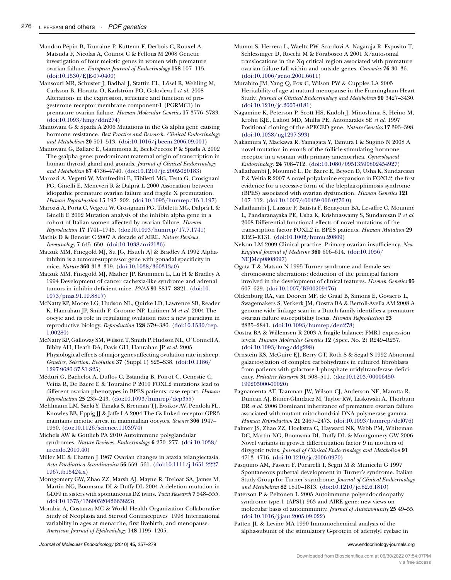<span id="page-19-0"></span>Mandon-Pépin B, Touraine P, Kuttenn F, Derbois C, Rouxel A, Matsuda F, Nicolas A, Cotinot C & Fellous M 2008 Genetic investigation of four meiotic genes in women with premature ovarian failure. European Journal of Endocrinology 158 107–115. ([doi:10.1530/EJE-07-0400\)](http://dx.doi.org/10.1530/EJE-07-0400)

Mansouri MR, Schuster J, Badhai J, Stattin EL, Lösel R, Wehling M, Carlsson B, Hovatta O, Karlström PO, Golovleva I et al. 2008 Alterations in the expression, structure and function of progesterone receptor membrane component-1 (PGRMC1) in premature ovarian failure. Human Molecular Genetics 17 3776–3783. ([doi:10.1093/hmg/ddn274](http://dx.doi.org/10.1093/hmg/ddn274))

Mantovani G & Spada A 2006 Mutations in the Gs alpha gene causing hormone resistance. Best Practice and Research. Clinical Endocrinology and Metabolism 20 501–513. [\(doi:10.1016/j.beem.2006.09.001\)](http://dx.doi.org/10.1016/j.beem.2006.09.001)

Mantovani G, Ballare E, Giammona E, Beck-Peccoz P & Spada A 2002 The gsalpha gene: predominant maternal origin of transcription in human thyroid gland and gonads. Journal of Clinical Endocrinology and Metabolism 87 4736–4740. [\(doi:10.1210/jc.2002-020183](http://dx.doi.org/10.1210/jc.2002-020183))

Marozzi A, Vegetti W, Manfredini E, Tibiletti MG, Testa G, Crosignani PG, Ginelli E, Meneveri R & Dalpra` L 2000 Association between idiopathic premature ovarian failure and fragile X premutation. Human Reproduction 15 197–202. ([doi:10.1093/humrep/15.1.197\)](http://dx.doi.org/10.1093/humrep/15.1.197)

Marozzi A, Porta C, Vegetti W, Crosignani PG, Tibiletti MG, Dalpra`L& Ginelli E 2002 Mutation analysis of the inhibin alpha gene in a cohort of Italian women affected by ovarian failure. Human Reproduction 17 1741–1745. ([doi:10.1093/humrep/17.7.1741\)](http://dx.doi.org/10.1093/humrep/17.7.1741)

Mathis D & Benoist C 2007 A decade of AIRE. Nature Reviews. Immunology 7 645–650. [\(doi:10.1038/nri2136\)](http://dx.doi.org/10.1038/nri2136)

Matzuk MM, Finegold MJ, Su JG, Hsueh AJ & Bradley A 1992 Alphainhibin is a tumour-suppressor gene with gonadal specificity in mice. Nature 360 313–319. [\(doi:10.1038/360313a0](http://dx.doi.org/10.1038/360313a0))

Matzuk MM, Finegold MJ, Mather JP, Krummen L, Lu H & Bradley A 1994 Development of cancer cachexia-like syndrome and adrenal tumors in inhibin-deficient mice. PNAS 91 8817–8821. ([doi:10.](http://dx.doi.org/10.1073/pnas.91.19.8817) [1073/pnas.91.19.8817](http://dx.doi.org/10.1073/pnas.91.19.8817))

McNatty KP, Moore LG, Hudson NL, Quirke LD, Lawrence SB, Reader K, Hanrahan JP, Smith P, Groome NP, Laitinen M et al. 2004 The oocyte and its role in regulating ovulation rate: a new paradigm in reproductive biology. Reproduction 128 379–386. [\(doi:10.1530/rep.](http://dx.doi.org/10.1530/rep.1.00280) [1.00280\)](http://dx.doi.org/10.1530/rep.1.00280)

McNatty KP, Galloway SM, Wilson T, Smith P, Hudson NL, O'Connell A, Bibby AH, Heath DA, Davis GH, Hanrahan JP et al. 2005 Physiological effects of major genes affecting ovulation rate in sheep. Genetics, Selection, Evolution 37 (Suppl 1) S25–S38. ([doi:10.1186/](http://dx.doi.org/10.1186/1297-9686-37-S1-S25) [1297-9686-37-S1-S25\)](http://dx.doi.org/10.1186/1297-9686-37-S1-S25)

Méduri G, Bachelot A, Duflos C, Bständig B, Poirot C, Genestie C, Veitia R, De Baere E & Touraine P 2010 FOXL2 mutations lead to different ovarian phenotypes in BPES patients: case report. Human Reproduction 25 235–243. ([doi:10.1093/humrep/dep355](http://dx.doi.org/10.1093/humrep/dep355))

Mehlmann LM, Saeki Y, Tanaka S, Brennan TJ, Evsikov AV, Pendola FL, Knowles BB, Eppig JJ & Jaffe LA 2004 The Gs-linked receptor GPR3 maintains meiotic arrest in mammalian oocytes. Science 306 1947– 1950. [\(doi:10.1126/science.1103974](http://dx.doi.org/10.1126/science.1103974))

Michels AW & Gottlieb PA 2010 Autoimmune polyglandular syndromes. Nature Reviews. Endocrinology 6 270–277. [\(doi:10.1038/](http://dx.doi.org/10.1038/nrendo.2010.40) [nrendo.2010.40\)](http://dx.doi.org/10.1038/nrendo.2010.40)

Miller ME & Chatten J 1967 Ovarian changes in ataxia telangiectasia. Acta Paediatrica Scandinavica 56 559–561. [\(doi:10.1111/j.1651-2227.](http://dx.doi.org/10.1111/j.1651-2227.1967.tb15424.x) [1967.tb15424.x\)](http://dx.doi.org/10.1111/j.1651-2227.1967.tb15424.x)

Montgomery GW, Zhao ZZ, Marsh AJ, Mayne R, Treloar SA, James M, Martin NG, Boomsma DI & Duffy DL 2004 A deletion mutation in GDF9 in sisters with spontaneous DZ twins. Twin Research 7 548–555. ([doi:10.1375/1369052042663823](http://dx.doi.org/10.1375/1369052042663823))

Morabia A, Costanza MC & World Health Organization Collaborative Study of Neoplasia and Steroid Contraceptives 1998 International variability in ages at menarche, first livebirth, and menopause. American Journal of Epidemiology 148 1195–1205.

Journal of Molecular Endocrinology (2010) 45, 257–279 www.endocrinology-journals.org

Mumm S, Herrera L, Waeltz PW, Scardovi A, Nagaraja R, Esposito T, Schlessinger D, Rocchi M & Forabosco A 2001 X/autosomal translocations in the Xq critical region associated with premature ovarian failure fall within and outside genes. Genomics 76 30–36. ([doi:10.1006/geno.2001.6611](http://dx.doi.org/10.1006/geno.2001.6611))

Murabito JM, Yang Q, Fox C, Wilson PW & Cupples LA 2005 Heritability of age at natural menopause in the Framingham Heart Study. Journal of Clinical Endocrinology and Metabolism 90 3427–3430. ([doi:10.1210/jc.2005-0181](http://dx.doi.org/10.1210/jc.2005-0181))

Nagamine K, Peterson P, Scott HS, Kudoh J, Minoshima S, Heino M, Krohn KJE, Lalioti MD, Mullis PE, Antonarakis SE et al. 1997 Positional cloning of the APECED gene. Nature Genetics 17 393–398. ([doi:10.1038/ng1297-393](http://dx.doi.org/10.1038/ng1297-393))

Nakamura Y, Maekawa R, Yamagata Y, Tamura I & Sugino N 2008 A novel mutation in exon8 of the follicle-stimulating hormone receptor in a woman with primary amenorrhea. Gynecological Endocrinology 24 708–712. [\(doi:10.1080/09513590802454927\)](http://dx.doi.org/10.1080/09513590802454927)

Nallathambi J, Moumné L, De Baere E, Beysen D, Usha K, Sundaresan P & Veitia R 2007 A novel polyalanine expansion in FOXL2: the first evidence for a recessive form of the blepharophimosis syndrome (BPES) associated with ovarian dysfunction. Human Genetics 121 107–112. ([doi:10.1007/s00439-006-0276-0](http://dx.doi.org/10.1007/s00439-006-0276-0))

Nallathambi J, Laissue P, Batista F, Benayoun BA, Lesaffre C, Moumne´ L, Pandaranayaka PE, Usha K, Krishnaswamy S, Sundaresan P et al. 2008 Differential functional effects of novel mutations of the transcription factor FOXL2 in BPES patients. Human Mutation 29 E123–E131. [\(doi:10.1002/humu.20809\)](http://dx.doi.org/10.1002/humu.20809)

Nelson LM 2009 Clinical practice. Primary ovarian insufficiency. New England Journal of Medicine 360 606–614. [\(doi:10.1056/](http://dx.doi.org/10.1056/NEJMcp0808697) [NEJMcp0808697\)](http://dx.doi.org/10.1056/NEJMcp0808697)

Ogata T & Matsuo N 1995 Turner syndrome and female sex chromosome aberrations: deduction of the principal factors involved in the development of clinical features. Human Genetics 95 607–629. ([doi:10.1007/BF00209476](http://dx.doi.org/10.1007/BF00209476))

Oldenburg RA, van Dooren MF, de Graaf B, Simons E, Govaerts L, Swagemakers S, Verkerk JM, Oostra BA & Bertoli-Avella AM 2008 A genome-wide linkage scan in a Dutch family identifies a premature ovarian failure susceptibility locus. Human Reproduction 23 2835–2841. ([doi:10.1093/humrep/den278](http://dx.doi.org/10.1093/humrep/den278))

Oostra BA & Willemsen R 2003 A fragile balance: FMR1 expression levels. Human Molecular Genetics 12 (Spec. No. 2) R249–R257. ([doi:10.1093/hmg/ddg298\)](http://dx.doi.org/10.1093/hmg/ddg298)

Ornstein KS, McGuire EJ, Berry GT, Roth S & Segal S 1992 Abnormal galactosylation of complex carbohydrates in cultured fibroblasts from patients with galactose-1-phosphate uridyltransferase deficiency. Pediatric Research 31 508–511. [\(doi:10.1203/00006450-](http://dx.doi.org/10.1203/00006450-199205000-00020) [199205000-00020\)](http://dx.doi.org/10.1203/00006450-199205000-00020)

Pagnamenta AT, Taanman JW, Wilson CJ, Anderson NE, Marotta R, Duncan AJ, Bitner-Glindzicz M, Taylor RW, Laskowski A, Thorburn DR et al. 2006 Dominant inheritance of premature ovarian failure associated with mutant mitochondrial DNA polymerase gamma. Human Reproduction 21 2467–2473. [\(doi:10.1093/humrep/del076](http://dx.doi.org/10.1093/humrep/del076))

Palmer JS, Zhao ZZ, Hoekstra C, Hayward NK, Webb PM, Whiteman DC, Martin NG, Boomsma DI, Duffy DL & Montgomery GW 2006 Novel variants in growth differentiation factor 9 in mothers of dizygotic twins. Journal of Clinical Endocrinology and Metabolism 91 4713–4716. ([doi:10.1210/jc.2006-0970](http://dx.doi.org/10.1210/jc.2006-0970))

Pasquino AM, Passeri F, Pucarelli I, Segni M & Municchi G 1997 Spontaneous pubertal development in Turner's syndrome. Italian Study Group for Turner's syndrome. Journal of Clinical Endocrinology and Metabolism 82 1810–1813. [\(doi:10.1210/jc.82.6.1810\)](http://dx.doi.org/10.1210/jc.82.6.1810)

Paterson P & Peltonen L 2005 Autoimmune polyendocrinopathy syndrome type 1 (APS1) 963 and AIRE gene: new views on molecular basis of autoimmunity. Journal of Autoimmunity 25 49–55. ([doi:10.1016/j.jaut.2005.09.022](http://dx.doi.org/10.1016/j.jaut.2005.09.022))

Patten JL & Levine MA 1990 Immunochemical analysis of the alpha-subunit of the stimulatory G-protein of adenylyl cyclase in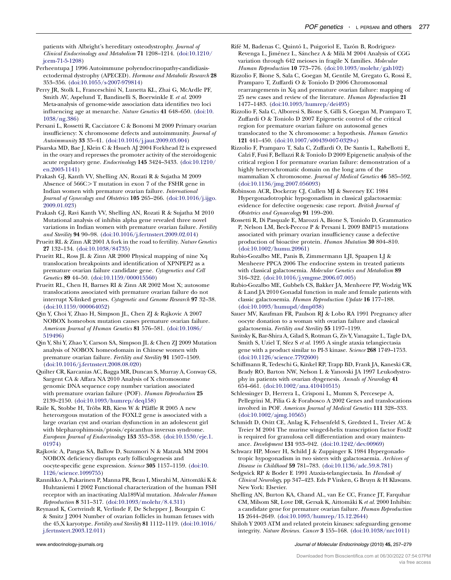<span id="page-20-0"></span>patients with Albright's hereditary osteodystrophy. Journal of Clinical Endocrinology and Metabolism 71 1208–1214. [\(doi:10.1210/](http://dx.doi.org/10.1210/jcem-71-5-1208) [jcem-71-5-1208\)](http://dx.doi.org/10.1210/jcem-71-5-1208)

Perheentupa J 1996 Autoimmune polyendocrinopathy-candidiasisectodermal dystrophy (APECED). Hormone and Metabolic Research 28 353–356. ([doi:10.1055/s-2007-979814](http://dx.doi.org/10.1055/s-2007-979814))

Perry JR, Stolk L, Franceschini N, Lunetta KL, Zhai G, McArdle PF, Smith AV, Aspelund T, Bandinelli S, Boerwinkle E et al. 2009 Meta-analysis of genome-wide association data identifies two loci influencing age at menarche. Nature Genetics 41 648–650. ([doi:10.](http://dx.doi.org/10.1038/ng.386) [1038/ng.386](http://dx.doi.org/10.1038/ng.386))

Persani L, Rossetti R, Cacciatore C & Bonomi M 2009 Primary ovarian insufficiency: X chromosome defects and autoimmunity. Journal of Autoimmunity 33 35–41. ([doi:10.1016/j.jaut.2009.03.004](http://dx.doi.org/10.1016/j.jaut.2009.03.004))

Pisarska MD, Bae J, Klein C & Hsueh AJ 2004 Forkhead l2 is expressed in the ovary and represses the promoter activity of the steroidogenic acute regulatory gene. Endocrinology 145 3424–3433. [\(doi:10.1210/](http://dx.doi.org/10.1210/en.2003-1141) [en.2003-1141](http://dx.doi.org/10.1210/en.2003-1141))

Prakash GJ, Kanth VV, Shelling AN, Rozati R & Sujatha M 2009 Absence of  $566C > T$  mutation in exon 7 of the FSHR gene in Indian women with premature ovarian failure. International Journal of Gynecology and Obstetrics 105 265-266. [\(doi:10.1016/j.ijgo.](http://dx.doi.org/10.1016/j.ijgo.2009.01.023) [2009.01.023](http://dx.doi.org/10.1016/j.ijgo.2009.01.023))

Prakash GJ, Ravi Kanth VV, Shelling AN, Rozati R & Sujatha M 2010 Mutational analysis of inhibin alpha gene revealed three novel variations in Indian women with premature ovarian failure. Fertility and Sterility 94 90–98. [\(doi:10.1016/j.fertnstert.2009.02.014\)](http://dx.doi.org/10.1016/j.fertnstert.2009.02.014)

Prueitt RL & Zinn AR 2001 A fork in the road to fertility. Nature Genetics 27 132–134. ([doi:10.1038/84735\)](http://dx.doi.org/10.1038/84735)

Prueitt RL, Ross JL & Zinn AR 2000 Physical mapping of nine Xq translocation breakpoints and identification of XPNPEP2 as a premature ovarian failure candidate gene. Cytogenetics and Cell Genetics 89 44–50. [\(doi:10.1159/000015560\)](http://dx.doi.org/10.1159/000015560)

Prueitt RL, Chen H, Barnes RI & Zinn AR 2002 Most X; autosome translocations associated with premature ovarian failure do not interrupt X-linked genes. Cytogenetic and Genome Research 97 32–38. ([doi:10.1159/000064052\)](http://dx.doi.org/10.1159/000064052)

Qin Y, Choi Y, Zhao H, Simpson JL, Chen ZJ & Rajkovic A 2007 NOBOX homeobox mutation causes premature ovarian failure. American Journal of Human Genetics 81 576–581. ([doi:10.1086/](http://dx.doi.org/10.1086/519496) [519496\)](http://dx.doi.org/10.1086/519496)

Qin Y, Shi Y, Zhao Y, Carson SA, Simpson JL & Chen ZJ 2009 Mutation analysis of NOBOX homeodomain in Chinese women with premature ovarian failure. Fertility and Sterility 91 1507–1509. ([doi:10.1016/j.fertnstert.2008.08.020](http://dx.doi.org/10.1016/j.fertnstert.2008.08.020))

Quilter CR, Karcanias AC, Bagga MR, Duncan S, Murray A, Conway GS, Sargent CA & Affara NA 2010 Analysis of X chromosome genomic DNA sequence copy number variation associated with premature ovarian failure (POF). Human Reproduction 25 2139–2150. [\(doi:10.1093/humrep/deq158\)](http://dx.doi.org/10.1093/humrep/deq158)

Raile K, Stobbe H, Tröbs RB, Kiess W & Pfäffle R 2005 A new heterozygous mutation of the FOXL2 gene is associated with a large ovarian cyst and ovarian dysfunction in an adolescent girl with blepharophimosis/ptosis/epicanthus inversus syndrome. European Journal of Endocrinology 153 353–358. [\(doi:10.1530/eje.1.](http://dx.doi.org/10.1530/eje.1.01974) [01974\)](http://dx.doi.org/10.1530/eje.1.01974)

Rajkovic A, Pangas SA, Ballow D, Suzumori N & Matzuk MM 2004 NOBOX deficiency disrupts early folliculogenesis and oocyte-specific gene expression. Science 305 1157–1159. [\(doi:10.](http://dx.doi.org/10.1126/science.1099755) [1126/science.1099755](http://dx.doi.org/10.1126/science.1099755))

Rannikko A, Pakarinen P, Manna PR, Beau I, Misrahi M, Aittomäki K & Huhtaniemi I 2002 Functional characterization of the human FSH receptor with an inactivating Ala189Val mutation. Molecular Human Reproduction 8 311–317. ([doi:10.1093/molehr/8.4.311\)](http://dx.doi.org/10.1093/molehr/8.4.311)

Reynaud K, Cortvrindt R, Verlinde F, De Schepper J, Bourgain C & Smitz J 2004 Number of ovarian follicles in human fetuses with the 45,X karyotype. Fertility and Sterility 81 1112–1119. [\(doi:10.1016/](http://dx.doi.org/10.1016/j.fertnstert.2003.12.011) [j.fertnstert.2003.12.011](http://dx.doi.org/10.1016/j.fertnstert.2003.12.011))

Rifé M, Badenas C, Quintó L, Puigoriol E, Tazón B, Rodriguez-Revenga L, Jiménez L, Sánchez A & Milà M 2004 Analysis of CGG variation through 642 meioses in fragile X families. Molecular Human Reproduction 10 773–776. ([doi:10.1093/molehr/gah102\)](http://dx.doi.org/10.1093/molehr/gah102)

Rizzolio F, Bione S, Sala C, Goegan M, Gentile M, Gregato G, Rossi E, Pramparo T, Zuffardi O & Toniolo D 2006 Chromosomal rearrangements in Xq and premature ovarian failure: mapping of 25 new cases and review of the literature. Human Reproduction 21 1477–1483. ([doi:10.1093/humrep/dei495\)](http://dx.doi.org/10.1093/humrep/dei495)

Rizzolio F, Sala C, Alboresi S, Bione S, Gilli S, Goegan M, Pramparo T, Zuffardi O & Toniolo D 2007 Epigenetic control of the critical region for premature ovarian failure on autosomal genes translocated to the X chromosome: a hypothesis. Human Genetics 121 441–450. ([doi:10.1007/s00439-007-0329-z](http://dx.doi.org/10.1007/s00439-007-0329-z))

Rizzolio F, Pramparo T, Sala C, Zuffardi O, De Santis L, Rabellotti E, Calzi F, Fusi F, Bellazzi R & Toniolo D 2009 Epigenetic analysis of the critical region I for premature ovarian failure: demonstration of a highly heterochromatic domain on the long arm of the mammalian X chromosome. Journal of Medical Genetics 46 585–592. ([doi:10.1136/jmg.2007.056093](http://dx.doi.org/10.1136/jmg.2007.056093))

Robinson ACR, Dockeray CJ, Cullen MJ & Sweeney EC 1984 Hypergonadotrophic hypogonadism in classical galactosaemia: evidence for defective oogenesis: case report. British Journal of Obstetrics and Gynaecology 91 199–200.

Rossetti R, Di Pasquale E, Marozzi A, Bione S, Toniolo D, Grammatico P, Nelson LM, Beck-Peccoz P & Persani L 2009 BMP15 mutations associated with primary ovarian insufficiency cause a defective production of bioactive protein. Human Mutation 30 804–810. ([doi:10.1002/humu.20961](http://dx.doi.org/10.1002/humu.20961))

Rubio-Gozalbo ME, Panis B, Zimmermann LJI, Spaapen LJ & Menheere PPCA 2006 The endocrine system in treated patients with classical galactosemia. Molecular Genetics and Metabolism 89 316–322. ([doi:10.1016/j.ymgme.2006.07.005\)](http://dx.doi.org/10.1016/j.ymgme.2006.07.005)

Rubio-Gozalbo ME, Gubbels CS, Bakker JA, Menheere PP, Wodzig WK & Land JA 2010 Gonadal function in male and female patients with classic galactosemia. Human Reproduction Update 16 177–188. ([doi:10.1093/humupd/dmp038\)](http://dx.doi.org/10.1093/humupd/dmp038)

Sauer MV, Kaufman FR, Paulson RJ & Lobo RA 1991 Pregnancy after oocyte donation to a woman with ovarian failure and classical galactosemia. Fertility and Sterility 55 1197–1199.

Savitsky K, Bar-Shira A, Gilad S, Rotman G, Ziv Y, Vanagaite L, Tagle DA, Smith S, Uziel T, Sfez S et al. 1995 A single ataxia telangiectasia gene with a product similar to PI-3 kinase. Science 268 1749–1753. ([doi:10.1126/science.7792600\)](http://dx.doi.org/10.1126/science.7792600)

Schiffmann R, Tedeschi G, Kinkel RP, Trapp BD, Frank JA, Kaneski CR, Brady RO, Barton NW, Nelson L & Yanovski JA 1997 Leukodystrophy in patients with ovarian dysgenesis. Annals of Neurology 41 654–661. ([doi:10.1002/ana.410410515\)](http://dx.doi.org/10.1002/ana.410410515)

Schlessinger D, Herrera L, Crisponi L, Mumm S, Percesepe A, Pellegrini M, Pilia G & Forabosco A 2002 Genes and translocations involved in POF. American Journal of Medical Genetics 111 328–333. ([doi:10.1002/ajmg.10565](http://dx.doi.org/10.1002/ajmg.10565))

Schmidt D, Ovitt CE, Anlag K, Fehsenfeld S, Gredsted L, Treier AC & Treier M 2004 The murine winged-helix transcription factor Foxl2 is required for granulosa cell differentiation and ovary maintenance. Development 131 933–942. [\(doi:10.1242/dev.00969\)](http://dx.doi.org/10.1242/dev.00969)

Schwarz HP, Moser H, Schild J & Zuppinger K 1984 Hypergonadotropic hypogonadism in two sisters with galactosaemia. Archives of Disease in Childhood 59 781–783. ([doi:10.1136/adc.59.8.781\)](http://dx.doi.org/10.1136/adc.59.8.781)

Sedgwick RP & Boder E 1991 Ataxia-telangiectasia. In Handook of Clinical Neurology, pp 347–423. Eds P Vinken, G Bruyn & H Klawans. New York: Elsevier.

Shelling AN, Burton KA, Chand AL, van Ee CC, France JT, Farquhar CM, Milsom SR, Love DR, Gersak K, Aittomäki K et al. 2000 Inhibin: a candidate gene for premature ovarian failure. Human Reproduction 15 2644–2649. ([doi:10.1093/humrep/15.12.2644\)](http://dx.doi.org/10.1093/humrep/15.12.2644)

Shiloh Y 2003 ATM and related protein kinases: safeguarding genome integrity. Nature Reviews. Cancer 3 155–168. ([doi:10.1038/nrc1011](http://dx.doi.org/10.1038/nrc1011))

www.endocrinology-journals.org and the United States of Molecular Endocrinology (2010) 45, 257-279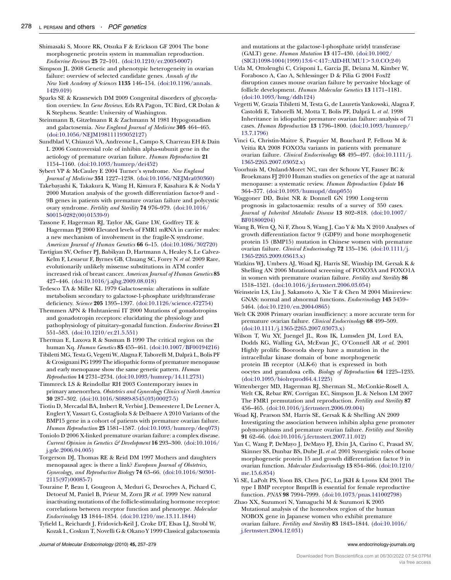<span id="page-21-0"></span>Shimasaki S, Moore RK, Otsuka F & Erickson GF 2004 The bone morphogenetic protein system in mammalian reproduction. Endocrine Reviews 25 72–101. ([doi:10.1210/er.2003-0007](http://dx.doi.org/10.1210/er.2003-0007))

- Simpson JL 2008 Genetic and phenotypic heterogeneity in ovarian failure: overview of selected candidate genes. Annals of the New York Academy of Sciences 1135 146–154. [\(doi:10.1196/annals.](http://dx.doi.org/10.1196/annals.1429.019) [1429.019\)](http://dx.doi.org/10.1196/annals.1429.019)
- Sparks SE & Krasnewich DM 2009 Congenital disorders of glycosylation overview. In Gene Reviews. Eds RA Pagon, TC Bird, CR Dolan & K Stephens. Seattle: University of Washington.

Steinmann B, Gitzelmann R & Zachmann M 1981 Hypogonadism and galactosemia. New England Journal of Medicine 305 464-465. ([doi:10.1056/NEJM198111193052127\)](http://dx.doi.org/10.1056/NEJM198111193052127)

Sundblad V, Chiauzzi VA, Andreone L, Campo S, Charreau EH & Dain L 2006 Controversial role of inhibin alpha-subunit gene in the aetiology of premature ovarian failure. Human Reproduction 21 1154–1160. ([doi:10.1093/humrep/dei452\)](http://dx.doi.org/10.1093/humrep/dei452)

Sybert VP & McCauley E 2004 Turner's syndrome. New England Journal of Medicine 351 1227–1238. [\(doi:10.1056/NEJMra030360\)](http://dx.doi.org/10.1056/NEJMra030360)

Takebayashi K, Takakura K, Wang H, Kimura F, Kasahara K & Noda Y 2000 Mutation analysis of the growth differentiation factor-9 and - 9B genes in patients with premature ovarian failure and polycystic ovary syndrome. Fertility and Sterility 74 976–979. ([doi:10.1016/](http://dx.doi.org/10.1016/S0015-0282(00)01539-9) [S0015-0282\(00\)01539-9\)](http://dx.doi.org/10.1016/S0015-0282(00)01539-9)

Tassone F, Hagerman RJ, Taylor AK, Gane LW, Godfrey TE & Hagerman PJ 2000 Elevated levels of FMR1 mRNA in carrier males: a new mechanism of involvement in the fragile-X syndrome. American Journal of Human Genetics 66 6-15. [\(doi:10.1086/302720\)](http://dx.doi.org/10.1086/302720)

Tavtigian SV, Oefner PJ, Babikyan D, Hartmann A, Healey S, Le Calvez-Kelm F, Lesueur F, Byrnes GB, Chuang SC, Forey N et al. 2009 Rare, evolutionarily unlikely missense substitutions in ATM confer increased risk of breast cancer. American Journal of Human Genetics 85 427–446. ([doi:10.1016/j.ajhg.2009.08.018\)](http://dx.doi.org/10.1016/j.ajhg.2009.08.018)

Tedesco TA & Miller KL 1979 Galactosemia: alterations in sulfate metabolism secondary to galactose-1-phosphate uridyltransferase deficiency. Science 205 1395–1397. [\(doi:10.1126/science.472754](http://dx.doi.org/10.1126/science.472754))

Themmen APN & Huhtaniemi IT 2000 Mutations of gonadotropins and gonadotropin receptors: elucidating the physiology and pathophysiology of pituitary-gonadal function. Endocrine Reviews 21 551–583. ([doi:10.1210/er.21.5.551](http://dx.doi.org/10.1210/er.21.5.551))

Therman E, Laxova R & Susman B 1990 The critical region on the human Xq. Human Genetics 85 455–461. ([doi:10.1007/BF00194216](http://dx.doi.org/10.1007/BF00194216))

Tibiletti MG, Testa G, Vegetti W, Alagna F, Taborelli M, Dalpra` L, Bolis PF & Crosignani PG 1999 The idiopathic forms of premature menopause and early menopause show the same genetic pattern. Human Reproduction 14 2731–2734. [\(doi:10.1093/humrep/14.11.2731\)](http://dx.doi.org/10.1093/humrep/14.11.2731)

Timmreck LS & Reindollar RH 2003 Contemporary issues in primary amenorrhea. Obstetrics and Gynecology Clinics of North America 30 287–302. ([doi:10.1016/S0889-8545\(03\)00027-5\)](http://dx.doi.org/10.1016/S0889-8545(03)00027-5)

Tiotiu D, Mercadal BA, Imbert R, Verbist J, Demeestere I, De Leener A, Englert Y, Vassart G, Costagliola S & Delbaere A 2010 Variants of the BMP15 gene in a cohort of patients with premature ovarian failure. Human Reproduction 25 1581–1587. [\(doi:10.1093/humrep/deq073](http://dx.doi.org/10.1093/humrep/deq073))

Toniolo D 2006 X-linked premature ovarian failure: a complex disease. Current Opinion in Genetics & Development 16 293–300. [\(doi:10.1016/](http://dx.doi.org/10.1016/j.gde.2006.04.005) [j.gde.2006.04.005](http://dx.doi.org/10.1016/j.gde.2006.04.005))

Torgerson DJ, Thomas RE & Reid DM 1997 Mothers and daughters menopausal ages: is there a link? European Journal of Obstetrics, Gynecology, and Reproductive Biology 74 63–66. ([doi:10.1016/S0301-](http://dx.doi.org/10.1016/S0301-2115(97)00085-7) [2115\(97\)00085-7](http://dx.doi.org/10.1016/S0301-2115(97)00085-7))

Touraine P, Beau I, Gougeon A, Meduri G, Desroches A, Pichard C, Detoeuf M, Paniel B, Prieur M, Zorn JR et al. 1999 New natural inactivating mutations of the follicle-stimulating hormone receptor: correlations between receptor function and phenotype. Molecular Endocrinology 13 1844–1854. [\(doi:10.1210/me.13.11.1844\)](http://dx.doi.org/10.1210/me.13.11.1844)

Tyfield L, Reichardt J, Fridovich-Keil J, Croke DT, Elsas LJ, Strobl W, Kozak L, Coskun T, Novelli G & Okano Y 1999 Classical galactosemia and mutations at the galactose-1-phosphate uridyl transferase (GALT) gene. Human Mutation 13 417–430. ([doi:10.1002/](http://dx.doi.org/10.1002/(SICI)1098-1004(1999)13:6%3C417::AID-HUMU1%3E3.0.CO;2-0)  $(SICI)1098-1004(1999)13:6 < 417::AID-HUMUI > 3.0.CO;2-0)$  $(SICI)1098-1004(1999)13:6 < 417::AID-HUMUI > 3.0.CO;2-0)$ 

- Uda M, Ottolenghi C, Crisponi L, Garcia JE, Deiana M, Kimber W, Forabosco A, Cao A, Schlessinger D & Pilia G 2004 Foxl2 disruption causes mouse ovarian failure by pervasive blockage of follicle development. Human Molecular Genetics 13 1171–1181. ([doi:10.1093/hmg/ddh124](http://dx.doi.org/10.1093/hmg/ddh124))
- Vegetti W, Grazia Tibiletti M, Testa G, de Lauretis Yankowski, Alagna F, Castoldi E, Taborelli M, Motta T, Bolis PF, Dalprá L et al. 1998 Inheritance in idiopathic premature ovarian failure: analysis of 71 cases. Human Reproduction 13 1796–1800. ([doi:10.1093/humrep/](http://dx.doi.org/10.1093/humrep/13.7.1796) [13.7.1796\)](http://dx.doi.org/10.1093/humrep/13.7.1796)
- Vinci G, Christin-Maitre S, Pasquier M, Bouchard P, Fellous M & Veitia RA 2008 FOXO3a variants in patients with premature ovarian failure. Clinical Endocrinology 68 495–497. ([doi:10.1111/j.](http://dx.doi.org/10.1111/j.1365-2265.2007.03052.x) [1365-2265.2007.03052.x](http://dx.doi.org/10.1111/j.1365-2265.2007.03052.x))

Voorhuis M, Onland-Moret NC, van der Schouw YT, Fauser BC & Broekmans FJ 2010 Human studies on genetics of the age at natural menopause: a systematic review. Human Reproduction Update 16 364–377. ([doi:10.1093/humupd/dmp055\)](http://dx.doi.org/10.1093/humupd/dmp055)

Waggoner DD, Buist NR & Donnell GN 1990 Long-term prognosis in galactosaemia: results of a survey of 350 cases. Journal of Inherited Metabolic Disease 13 802–818. ([doi:10.1007/](http://dx.doi.org/10.1007/BF01800204) [BF01800204](http://dx.doi.org/10.1007/BF01800204))

Wang B, Wen Q, Ni F, Zhou S, Wang J, Cao Y & Ma X 2010 Analyses of growth differentiation factor 9 (GDF9) and bone morphogenetic protein 15 (BMP15) mutation in Chinese women with premature ovarian failure. Clinical Endocrinology 72 135–136. ([doi:10.1111/j.](http://dx.doi.org/10.1111/j.1365-2265.2009.03613.x) [1365-2265.2009.03613.x](http://dx.doi.org/10.1111/j.1365-2265.2009.03613.x))

Watkins WJ, Umbers AJ, Woad KJ, Harris SE, Winship IM, Gersak K & Shelling AN 2006 Mutational screening of FOXO3A and FOXO1A in women with premature ovarian failure. Fertility and Sterility 86 1518–1521. ([doi:10.1016/j.fertnstert.2006.03.054](http://dx.doi.org/10.1016/j.fertnstert.2006.03.054))

Weinstein LS, Liu J, Sakamoto A, Xie T & Chen M 2004 Minireview: GNAS: normal and abnormal functions. Endocrinology 145 5459– 5464. [\(doi:10.1210/en.2004-0865\)](http://dx.doi.org/10.1210/en.2004-0865)

Welt CK 2008 Primary ovarian insufficiency: a more accurate term for premature ovarian failure. Clinical Endocrinology 68 499–509. ([doi:10.1111/j.1365-2265.2007.03073.x\)](http://dx.doi.org/10.1111/j.1365-2265.2007.03073.x)

Wilson T, Wu XY, Juengel JL, Ross IK, Lumsden JM, Lord EA, Dodds KG, Walling GA, McEwan JC, O'Connell AR et al. 2001 Highly prolific Booroola sheep have a mutation in the intracellular kinase domain of bone morphogenetic protein IB receptor (ALK-6) that is expressed in both oocytes and granulosa cells. Biology of Reproduction 64 1225–1235. ([doi:10.1095/biolreprod64.4.1225](http://dx.doi.org/10.1095/biolreprod64.4.1225))

Wittenberger MD, Hagerman RJ, Sherman SL, McConkie-Rosell A, Welt CK, Rebar RW, Corrigan EC, Simpson JL & Nelson LM 2007 The FMR1 premutation and reproduction. Fertility and Sterility 87 456–465. ([doi:10.1016/j.fertnstert.2006.09.004](http://dx.doi.org/10.1016/j.fertnstert.2006.09.004))

Woad KJ, Pearson SM, Harris SE, Gersak K & Shelling AN 2009 Investigating the association between inhibin alpha gene promoter polymorphisms and premature ovarian failure. Fertility and Sterility 91 62–66. [\(doi:10.1016/j.fertnstert.2007.11.012\)](http://dx.doi.org/10.1016/j.fertnstert.2007.11.012)

Yan C, Wang P, DeMayo J, DeMayo FJ, Elvin JA, Carino C, Prasad SV, Skinner SS, Dunbar BS, Dube JL et al. 2001 Synergistic roles of bone morphogenetic protein 15 and growth differentiation factor 9 in ovarian function. Molecular Endocrinology 15 854–866. [\(doi:10.1210/](http://dx.doi.org/10.1210/me.15.6.854) [me.15.6.854\)](http://dx.doi.org/10.1210/me.15.6.854)

Yi SE, LaPolt PS, Yoon BS, Chen JY-C, Lu JKH & Lyons KM 2001 The type I BMP receptor BmprIB is essential for female reproductive function. PNAS 98 7994–7999. ([doi:10.1073/pnas.141002798](http://dx.doi.org/10.1073/pnas.141002798))

Zhao XX, Suzumori N, Yamaguchi M & Suzumori K 2005 Mutational analysis of the homeobox region of the human NOBOX gene in Japanese women who exhibit premature ovarian failure. Fertility and Sterility 83 1843–1844. ([doi:10.1016/](http://dx.doi.org/10.1016/j.fertnstert.2004.12.031) [j.fertnstert.2004.12.031](http://dx.doi.org/10.1016/j.fertnstert.2004.12.031))